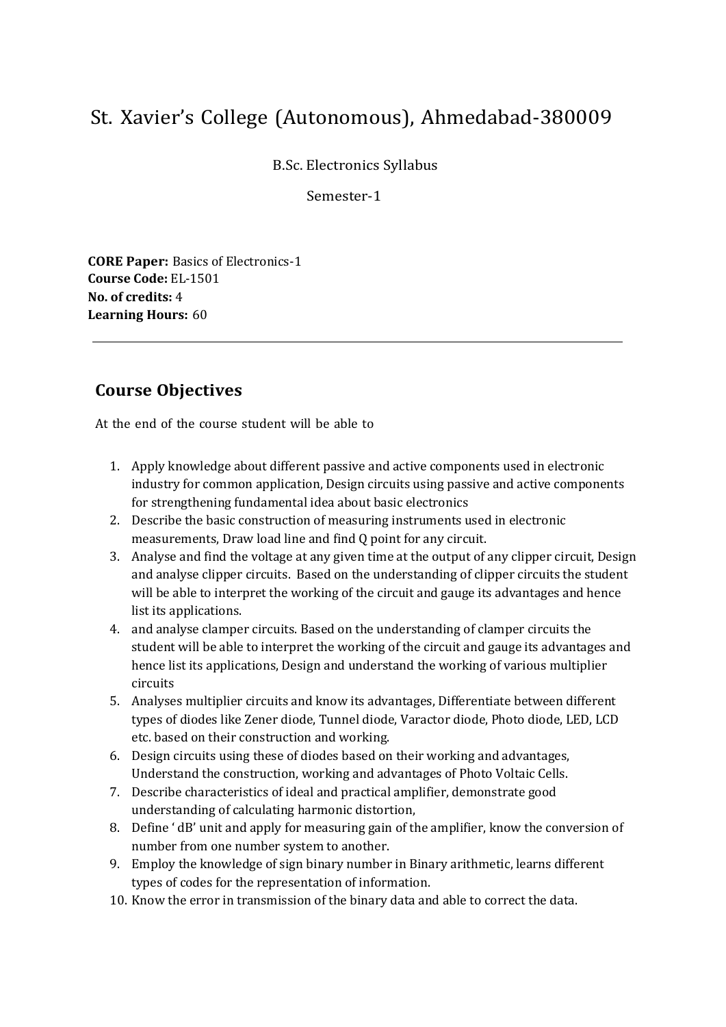B.Sc. Electronics Syllabus

Semester-1

**CORE Paper:** Basics of Electronics-1 **Course Code:** EL-1501 **No. of credits:** 4 **Learning Hours:** 60

## **Course Objectives**

- 1. Apply knowledge about different passive and active components used in electronic industry for common application, Design circuits using passive and active components for strengthening fundamental idea about basic electronics
- 2. Describe the basic construction of measuring instruments used in electronic measurements, Draw load line and find Q point for any circuit.
- 3. Analyse and find the voltage at any given time at the output of any clipper circuit, Design and analyse clipper circuits. Based on the understanding of clipper circuits the student will be able to interpret the working of the circuit and gauge its advantages and hence list its applications.
- 4. and analyse clamper circuits. Based on the understanding of clamper circuits the student will be able to interpret the working of the circuit and gauge its advantages and hence list its applications, Design and understand the working of various multiplier circuits
- 5. Analyses multiplier circuits and know its advantages, Differentiate between different types of diodes like Zener diode, Tunnel diode, Varactor diode, Photo diode, LED, LCD etc. based on their construction and working.
- 6. Design circuits using these of diodes based on their working and advantages, Understand the construction, working and advantages of Photo Voltaic Cells.
- 7. Describe characteristics of ideal and practical amplifier, demonstrate good understanding of calculating harmonic distortion,
- 8. Define ' dB' unit and apply for measuring gain of the amplifier, know the conversion of number from one number system to another.
- 9. Employ the knowledge of sign binary number in Binary arithmetic, learns different types of codes for the representation of information.
- 10. Know the error in transmission of the binary data and able to correct the data.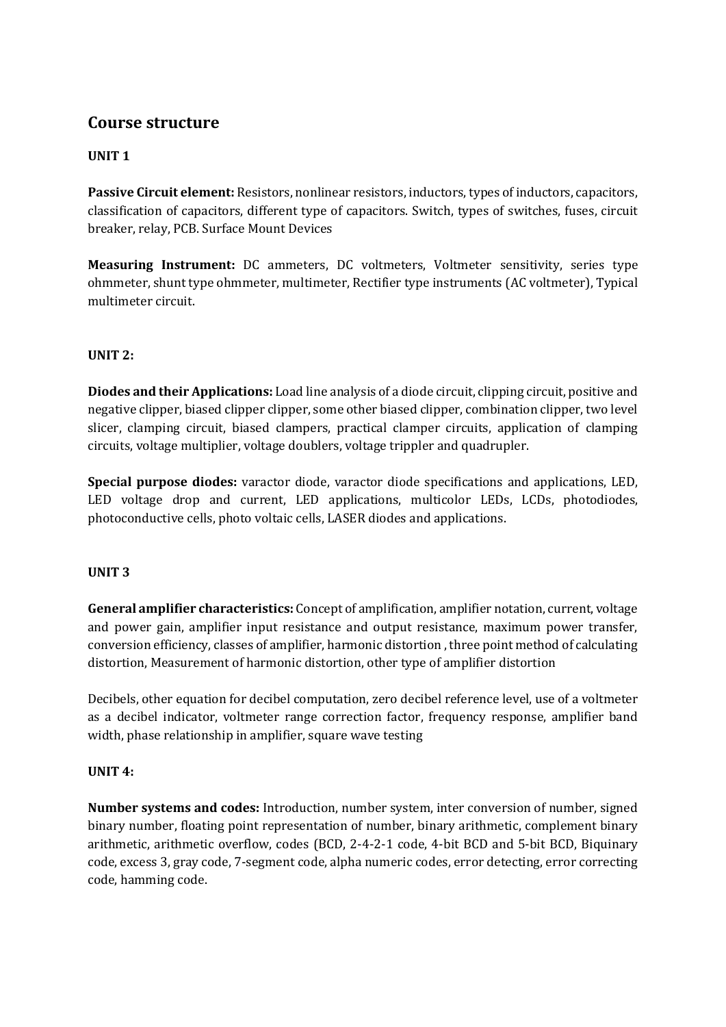#### **UNIT 1**

**Passive Circuit element:** Resistors, nonlinear resistors, inductors, types of inductors, capacitors, classification of capacitors, different type of capacitors. Switch, types of switches, fuses, circuit breaker, relay, PCB. Surface Mount Devices

**Measuring Instrument:** DC ammeters, DC voltmeters, Voltmeter sensitivity, series type ohmmeter, shunt type ohmmeter, multimeter, Rectifier type instruments (AC voltmeter), Typical multimeter circuit.

#### **UNIT 2:**

**Diodes and their Applications:** Load line analysis of a diode circuit, clipping circuit, positive and negative clipper, biased clipper clipper, some other biased clipper, combination clipper, two level slicer, clamping circuit, biased clampers, practical clamper circuits, application of clamping circuits, voltage multiplier, voltage doublers, voltage trippler and quadrupler.

**Special purpose diodes:** varactor diode, varactor diode specifications and applications, LED, LED voltage drop and current, LED applications, multicolor LEDs, LCDs, photodiodes, photoconductive cells, photo voltaic cells, LASER diodes and applications.

#### **UNIT 3**

**General amplifier characteristics:** Concept of amplification, amplifier notation, current, voltage and power gain, amplifier input resistance and output resistance, maximum power transfer, conversion efficiency, classes of amplifier, harmonic distortion , three point method of calculating distortion, Measurement of harmonic distortion, other type of amplifier distortion

Decibels, other equation for decibel computation, zero decibel reference level, use of a voltmeter as a decibel indicator, voltmeter range correction factor, frequency response, amplifier band width, phase relationship in amplifier, square wave testing

#### **UNIT 4:**

**Number systems and codes:** Introduction, number system, inter conversion of number, signed binary number, floating point representation of number, binary arithmetic, complement binary arithmetic, arithmetic overflow, codes (BCD, 2-4-2-1 code, 4-bit BCD and 5-bit BCD, Biquinary code, excess 3, gray code, 7-segment code, alpha numeric codes, error detecting, error correcting code, hamming code.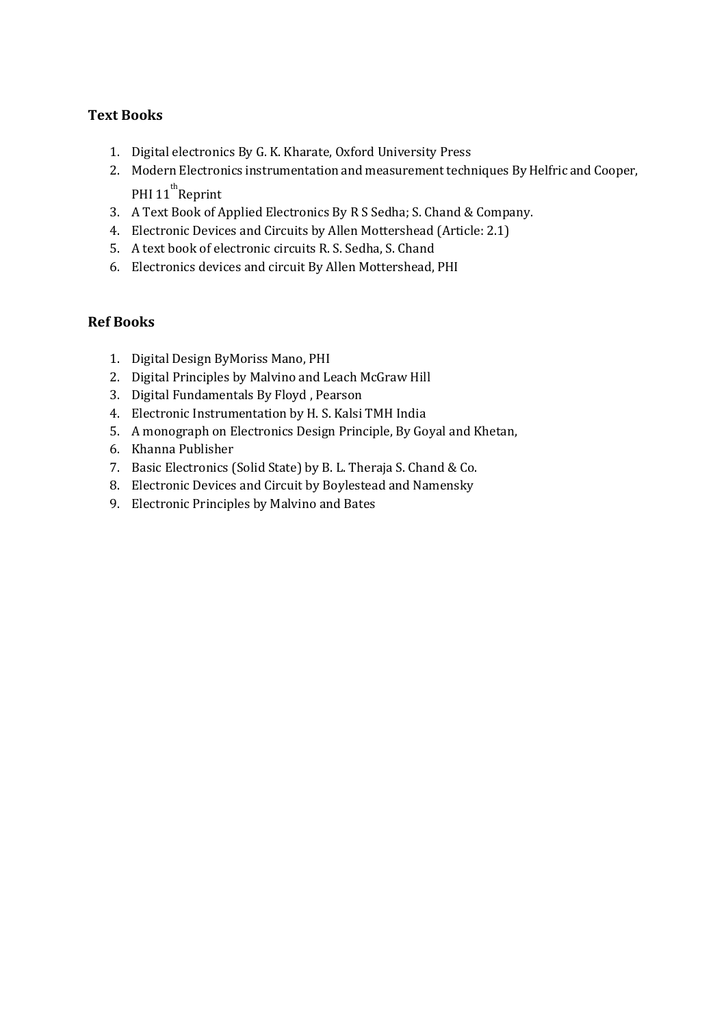### **Text Books**

- 1. Digital electronics By G. K. Kharate, Oxford University Press
- 2. Modern Electronics instrumentation and measurement techniques By Helfric and Cooper, PHI 11<sup>th</sup>Reprint
- 3. A Text Book of Applied Electronics By R S Sedha; S. Chand & Company.
- 4. Electronic Devices and Circuits by Allen Mottershead (Article: 2.1)
- 5. A text book of electronic circuits R. S. Sedha, S. Chand
- 6. Electronics devices and circuit By Allen Mottershead, PHI

### **Ref Books**

- 1. Digital Design ByMoriss Mano, PHI
- 2. Digital Principles by Malvino and Leach McGraw Hill
- 3. Digital Fundamentals By Floyd , Pearson
- 4. Electronic Instrumentation by H. S. Kalsi TMH India
- 5. A monograph on Electronics Design Principle, By Goyal and Khetan,
- 6. Khanna Publisher
- 7. Basic Electronics (Solid State) by B. L. Theraja S. Chand & Co.
- 8. Electronic Devices and Circuit by Boylestead and Namensky
- 9. Electronic Principles by Malvino and Bates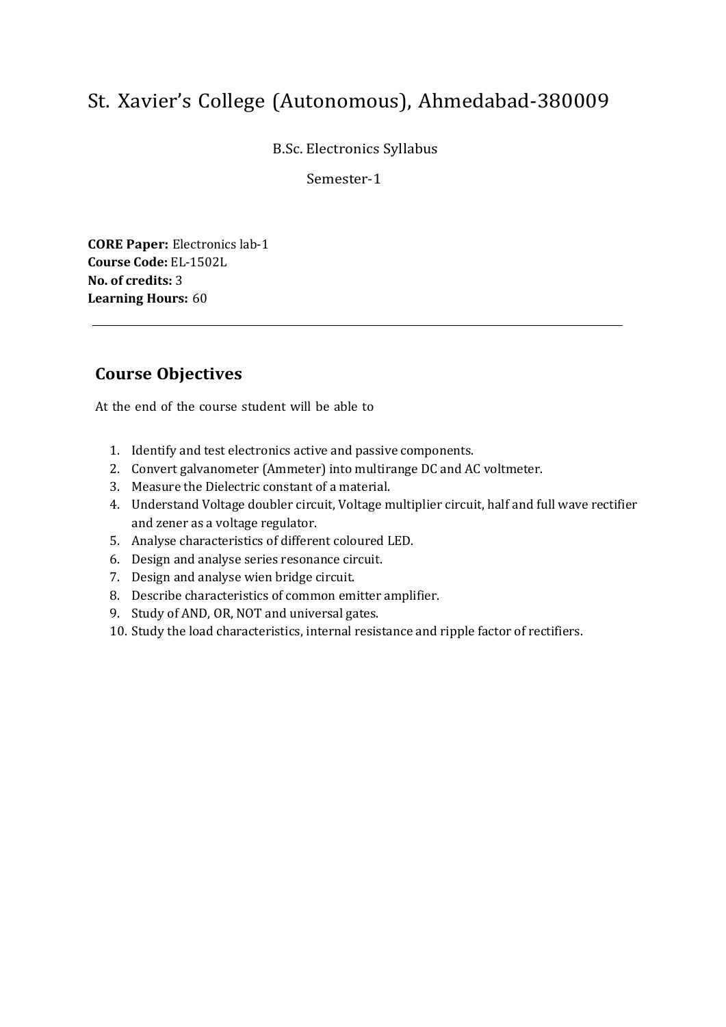B.Sc. Electronics Syllabus

Semester-1

**CORE Paper:** Electronics lab-1 **Course Code:** EL-1502L **No. of credits:** 3 **Learning Hours:** 60

## **Course Objectives**

- 1. Identify and test electronics active and passive components.
- 2. Convert galvanometer (Ammeter) into multirange DC and AC voltmeter.
- 3. Measure the Dielectric constant of a material.
- 4. Understand Voltage doubler circuit, Voltage multiplier circuit, half and full wave rectifier and zener as a voltage regulator.
- 5. Analyse characteristics of different coloured LED.
- 6. Design and analyse series resonance circuit.
- 7. Design and analyse wien bridge circuit.
- 8. Describe characteristics of common emitter amplifier.
- 9. Study of AND, OR, NOT and universal gates.
- 10. Study the load characteristics, internal resistance and ripple factor of rectifiers.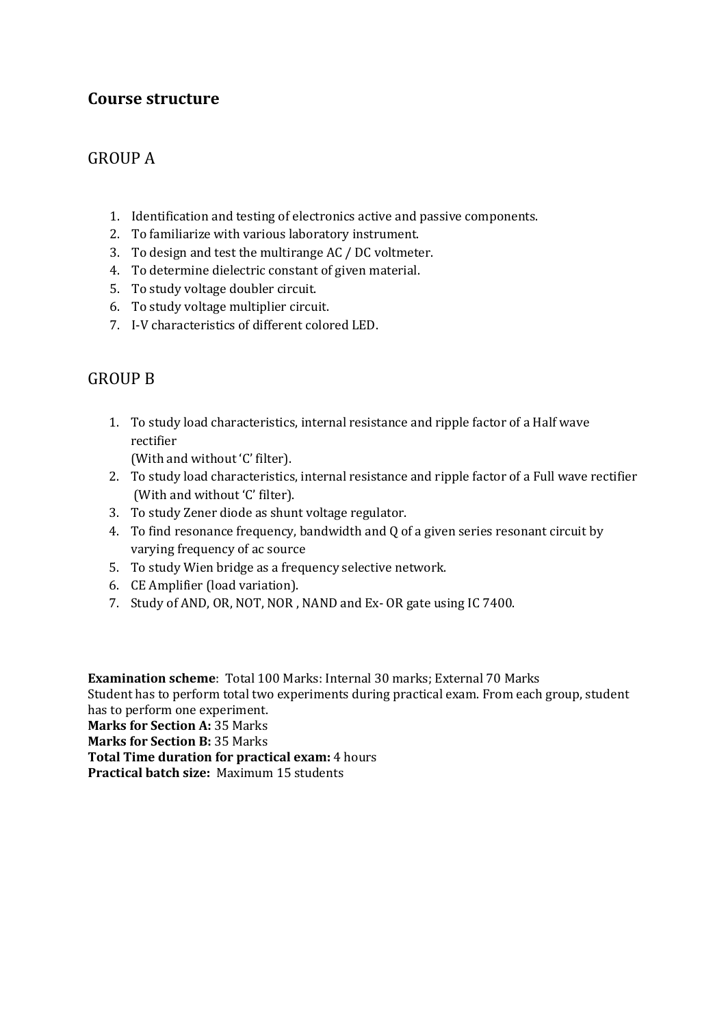## GROUP A

- 1. Identification and testing of electronics active and passive components.
- 2. To familiarize with various laboratory instrument.
- 3. To design and test the multirange AC / DC voltmeter.
- 4. To determine dielectric constant of given material.
- 5. To study voltage doubler circuit.
- 6. To study voltage multiplier circuit.
- 7. I-V characteristics of different colored LED.

## GROUP B

- 1. To study load characteristics, internal resistance and ripple factor of a Half wave rectifier (With and without 'C' filter).
- 2. To study load characteristics, internal resistance and ripple factor of a Full wave rectifier (With and without 'C' filter).
- 3. To study Zener diode as shunt voltage regulator.
- 4. To find resonance frequency, bandwidth and Q of a given series resonant circuit by varying frequency of ac source
- 5. To study Wien bridge as a frequency selective network.
- 6. CE Amplifier (load variation).
- 7. Study of AND, OR, NOT, NOR , NAND and Ex- OR gate using IC 7400.

**Examination scheme**: Total 100 Marks: Internal 30 marks; External 70 Marks Student has to perform total two experiments during practical exam. From each group, student has to perform one experiment. **Marks for Section A:** 35 Marks **Marks for Section B:** 35 Marks **Total Time duration for practical exam:** 4 hours **Practical batch size:** Maximum 15 students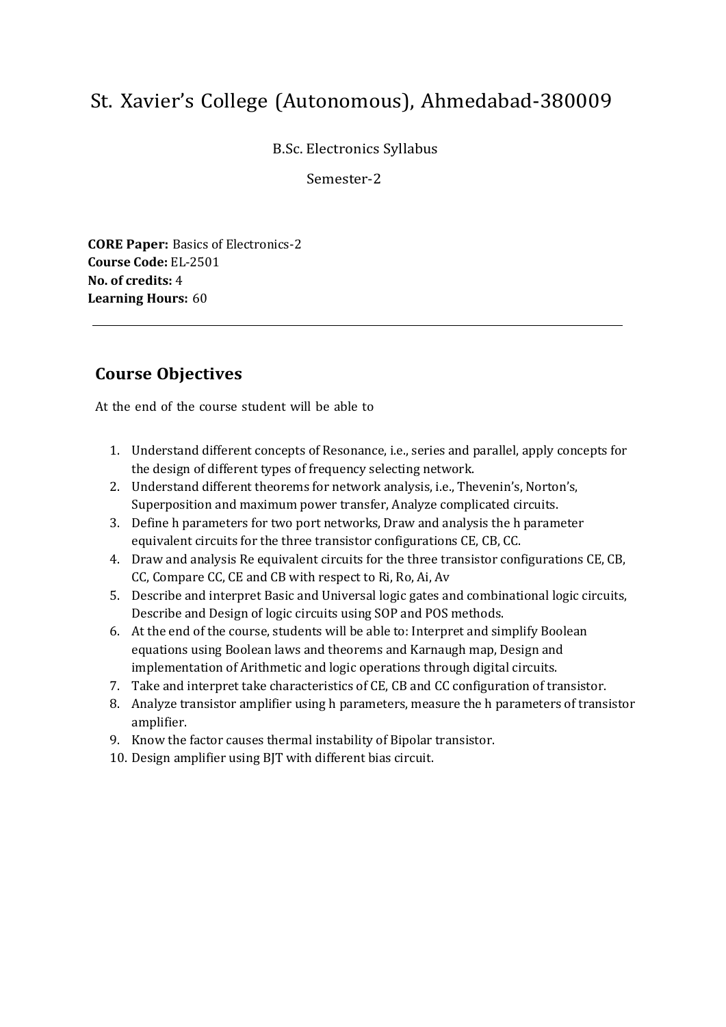B.Sc. Electronics Syllabus

Semester-2

**CORE Paper:** Basics of Electronics-2 **Course Code:** EL-2501 **No. of credits:** 4 **Learning Hours:** 60

## **Course Objectives**

- 1. Understand different concepts of Resonance, i.e., series and parallel, apply concepts for the design of different types of frequency selecting network.
- 2. Understand different theorems for network analysis, i.e., Thevenin's, Norton's, Superposition and maximum power transfer, Analyze complicated circuits.
- 3. Define h parameters for two port networks, Draw and analysis the h parameter equivalent circuits for the three transistor configurations CE, CB, CC.
- 4. Draw and analysis Re equivalent circuits for the three transistor configurations CE, CB, CC, Compare CC, CE and CB with respect to Ri, Ro, Ai, Av
- 5. Describe and interpret Basic and Universal logic gates and combinational logic circuits, Describe and Design of logic circuits using SOP and POS methods.
- 6. At the end of the course, students will be able to: Interpret and simplify Boolean equations using Boolean laws and theorems and Karnaugh map, Design and implementation of Arithmetic and logic operations through digital circuits.
- 7. Take and interpret take characteristics of CE, CB and CC configuration of transistor.
- 8. Analyze transistor amplifier using h parameters, measure the h parameters of transistor amplifier.
- 9. Know the factor causes thermal instability of Bipolar transistor.
- 10. Design amplifier using BJT with different bias circuit.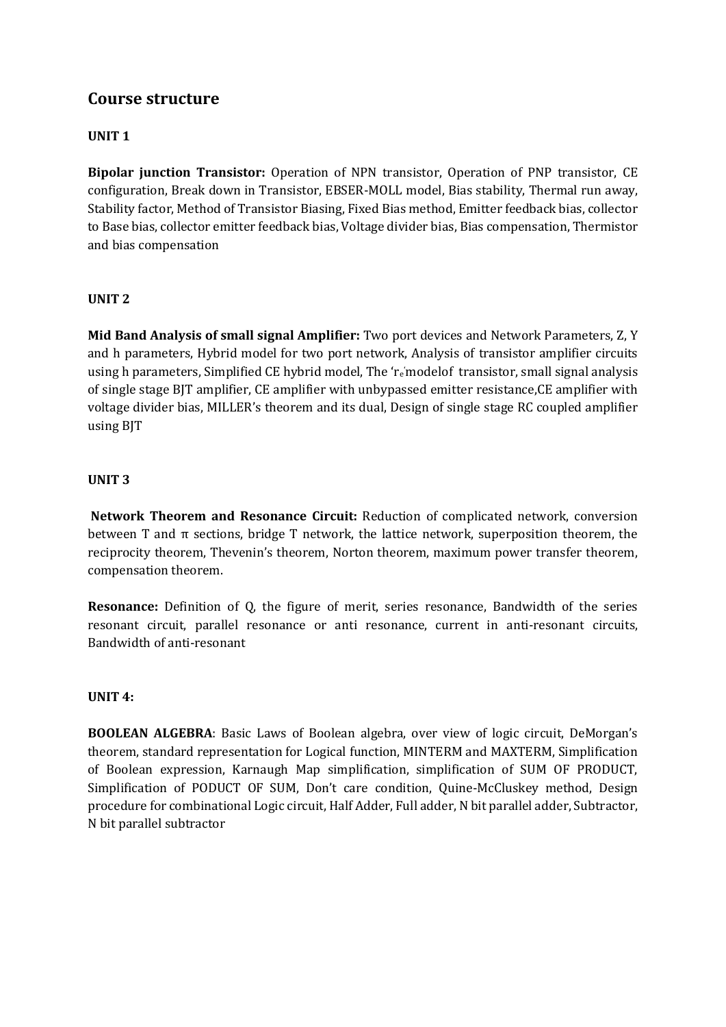### **UNIT 1**

**Bipolar junction Transistor:** Operation of NPN transistor, Operation of PNP transistor, CE configuration, Break down in Transistor, EBSER-MOLL model, Bias stability, Thermal run away, Stability factor, Method of Transistor Biasing, Fixed Bias method, Emitter feedback bias, collector to Base bias, collector emitter feedback bias, Voltage divider bias, Bias compensation, Thermistor and bias compensation

#### **UNIT 2**

**Mid Band Analysis of small signal Amplifier:** Two port devices and Network Parameters, Z, Y and h parameters, Hybrid model for two port network, Analysis of transistor amplifier circuits using h parameters, Simplified CE hybrid model, The 're'modelof transistor, small signal analysis of single stage BJT amplifier, CE amplifier with unbypassed emitter resistance,CE amplifier with voltage divider bias, MILLER's theorem and its dual, Design of single stage RC coupled amplifier using BJT

#### **UNIT 3**

**Network Theorem and Resonance Circuit:** Reduction of complicated network, conversion between T and  $\pi$  sections, bridge T network, the lattice network, superposition theorem, the reciprocity theorem, Thevenin's theorem, Norton theorem, maximum power transfer theorem, compensation theorem.

**Resonance:** Definition of Q, the figure of merit, series resonance, Bandwidth of the series resonant circuit, parallel resonance or anti resonance, current in anti-resonant circuits, Bandwidth of anti-resonant

#### **UNIT 4:**

**BOOLEAN ALGEBRA**: Basic Laws of Boolean algebra, over view of logic circuit, DeMorgan's theorem, standard representation for Logical function, MINTERM and MAXTERM, Simplification of Boolean expression, Karnaugh Map simplification, simplification of SUM OF PRODUCT, Simplification of PODUCT OF SUM, Don't care condition, Quine-McCluskey method, Design procedure for combinational Logic circuit, Half Adder, Full adder, N bit parallel adder, Subtractor, N bit parallel subtractor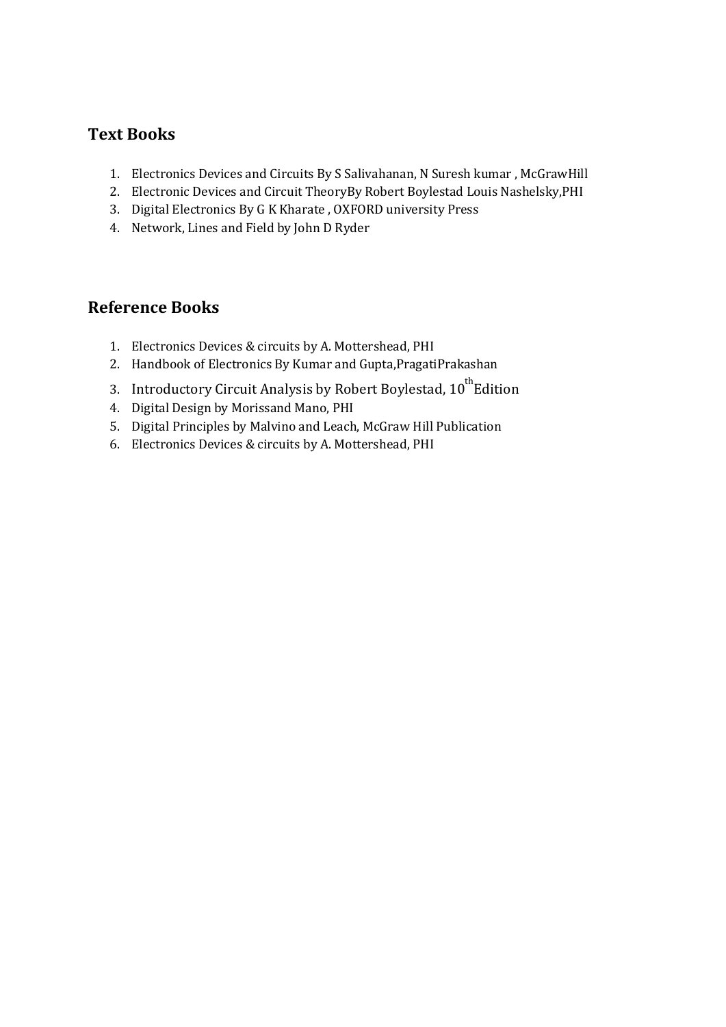## **Text Books**

- 1. Electronics Devices and Circuits By S Salivahanan, N Suresh kumar , McGrawHill
- 2. Electronic Devices and Circuit TheoryBy Robert Boylestad Louis Nashelsky,PHI
- 3. Digital Electronics By G K Kharate , OXFORD university Press
- 4. Network, Lines and Field by John D Ryder

### **Reference Books**

- 1. Electronics Devices & circuits by A. Mottershead, PHI
- 2. Handbook of Electronics By Kumar and Gupta,PragatiPrakashan
- 3. Introductory Circuit Analysis by Robert Boylestad, 10<sup>th</sup>Edition
- 4. Digital Design by Morissand Mano, PHI
- 5. Digital Principles by Malvino and Leach, McGraw Hill Publication
- 6. Electronics Devices & circuits by A. Mottershead, PHI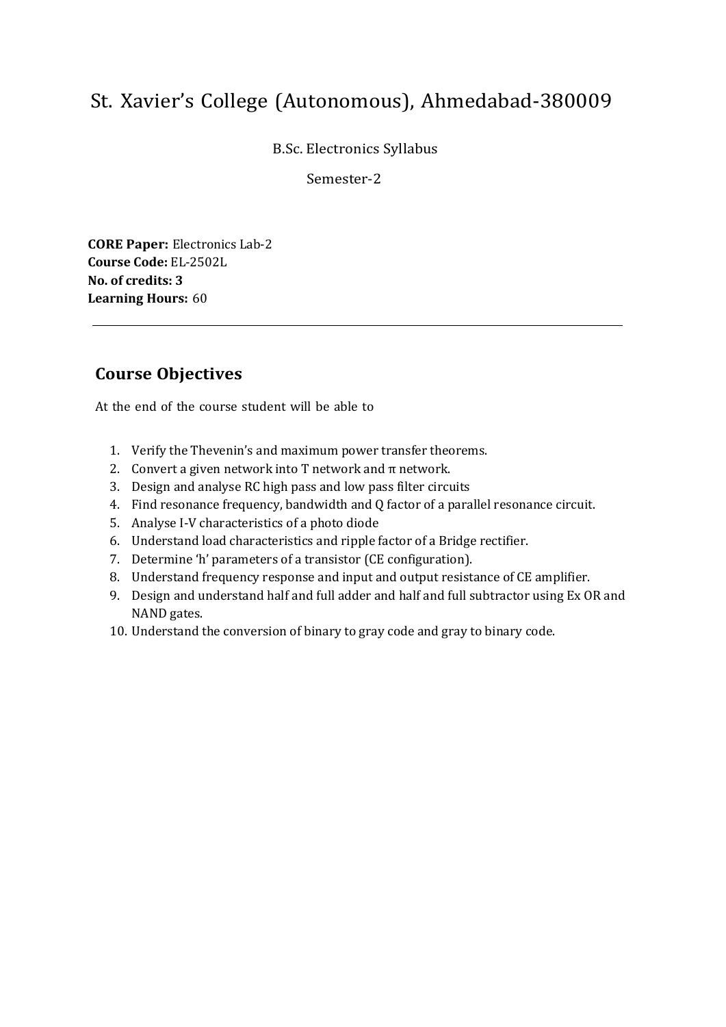B.Sc. Electronics Syllabus

Semester-2

**CORE Paper:** Electronics Lab-2 **Course Code:** EL-2502L **No. of credits: 3 Learning Hours:** 60

## **Course Objectives**

- 1. Verify the Thevenin's and maximum power transfer theorems.
- 2. Convert a given network into T network and  $\pi$  network.
- 3. Design and analyse RC high pass and low pass filter circuits
- 4. Find resonance frequency, bandwidth and Q factor of a parallel resonance circuit.
- 5. Analyse I-V characteristics of a photo diode
- 6. Understand load characteristics and ripple factor of a Bridge rectifier.
- 7. Determine 'h' parameters of a transistor (CE configuration).
- 8. Understand frequency response and input and output resistance of CE amplifier.
- 9. Design and understand half and full adder and half and full subtractor using Ex OR and NAND gates.
- 10. Understand the conversion of binary to gray code and gray to binary code.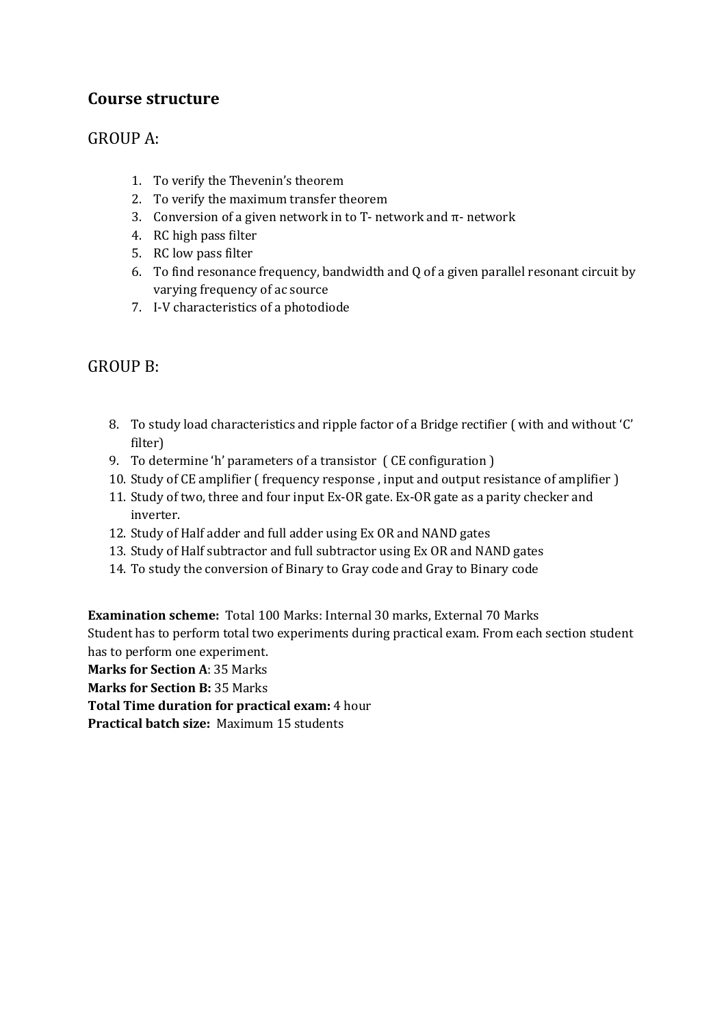## GROUP A:

- 1. To verify the Thevenin's theorem
- 2. To verify the maximum transfer theorem
- 3. Conversion of a given network in to T- network and  $\pi$  network
- 4. RC high pass filter
- 5. RC low pass filter
- 6. To find resonance frequency, bandwidth and Q of a given parallel resonant circuit by varying frequency of ac source
- 7. I-V characteristics of a photodiode

## GROUP B:

- 8. To study load characteristics and ripple factor of a Bridge rectifier ( with and without 'C' filter)
- 9. To determine 'h' parameters of a transistor ( CE configuration )
- 10. Study of CE amplifier ( frequency response , input and output resistance of amplifier )
- 11. Study of two, three and four input Ex-OR gate. Ex-OR gate as a parity checker and inverter.
- 12. Study of Half adder and full adder using Ex OR and NAND gates
- 13. Study of Half subtractor and full subtractor using Ex OR and NAND gates
- 14. To study the conversion of Binary to Gray code and Gray to Binary code

**Examination scheme:** Total 100 Marks: Internal 30 marks, External 70 Marks Student has to perform total two experiments during practical exam. From each section student has to perform one experiment.

**Marks for Section A**: 35 Marks

**Marks for Section B:** 35 Marks

**Total Time duration for practical exam:** 4 hour

**Practical batch size:** Maximum 15 students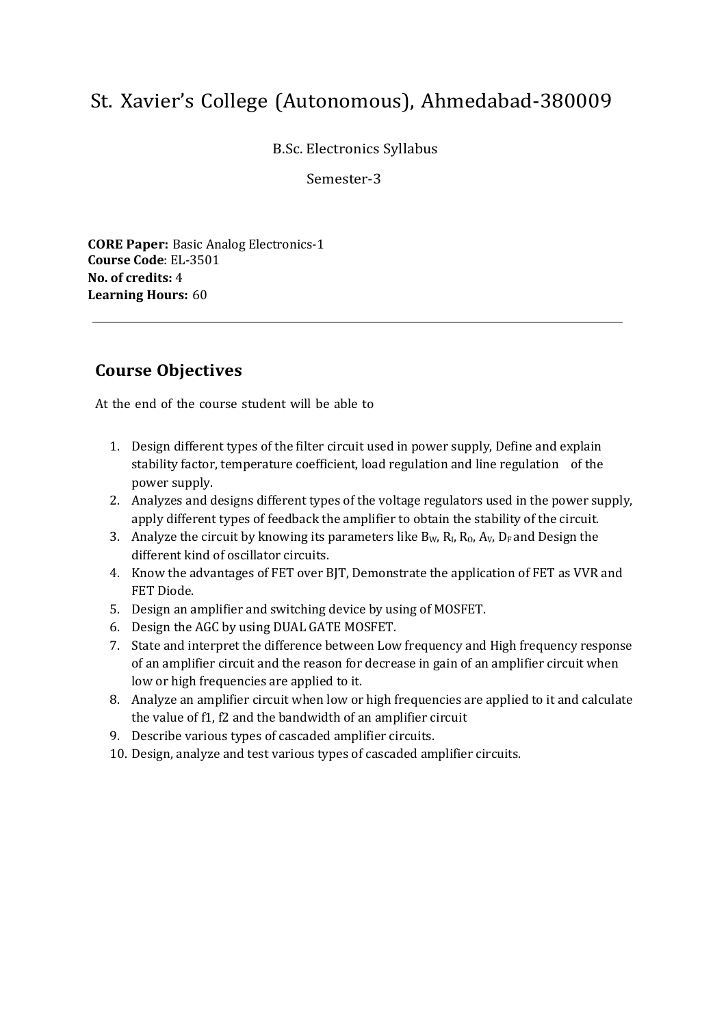B.Sc. Electronics Syllabus

Semester-3

**CORE Paper:** Basic Analog Electronics-1 **Course Code**: EL-3501 **No. of credits:** 4 **Learning Hours:** 60

## **Course Objectives**

- 1. Design different types of the filter circuit used in power supply, Define and explain stability factor, temperature coefficient, load regulation and line regulation of the power supply.
- 2. Analyzes and designs different types of the voltage regulators used in the power supply, apply different types of feedback the amplifier to obtain the stability of the circuit.
- 3. Analyze the circuit by knowing its parameters like  $B_W$ ,  $R_1$ ,  $R_0$ ,  $A_V$ ,  $D_F$  and Design the different kind of oscillator circuits.
- 4. Know the advantages of FET over BJT, Demonstrate the application of FET as VVR and FET Diode.
- 5. Design an amplifier and switching device by using of MOSFET.
- 6. Design the AGC by using DUAL GATE MOSFET.
- 7. State and interpret the difference between Low frequency and High frequency response of an amplifier circuit and the reason for decrease in gain of an amplifier circuit when low or high frequencies are applied to it.
- 8. Analyze an amplifier circuit when low or high frequencies are applied to it and calculate the value of f1, f2 and the bandwidth of an amplifier circuit
- 9. Describe various types of cascaded amplifier circuits.
- 10. Design, analyze and test various types of cascaded amplifier circuits.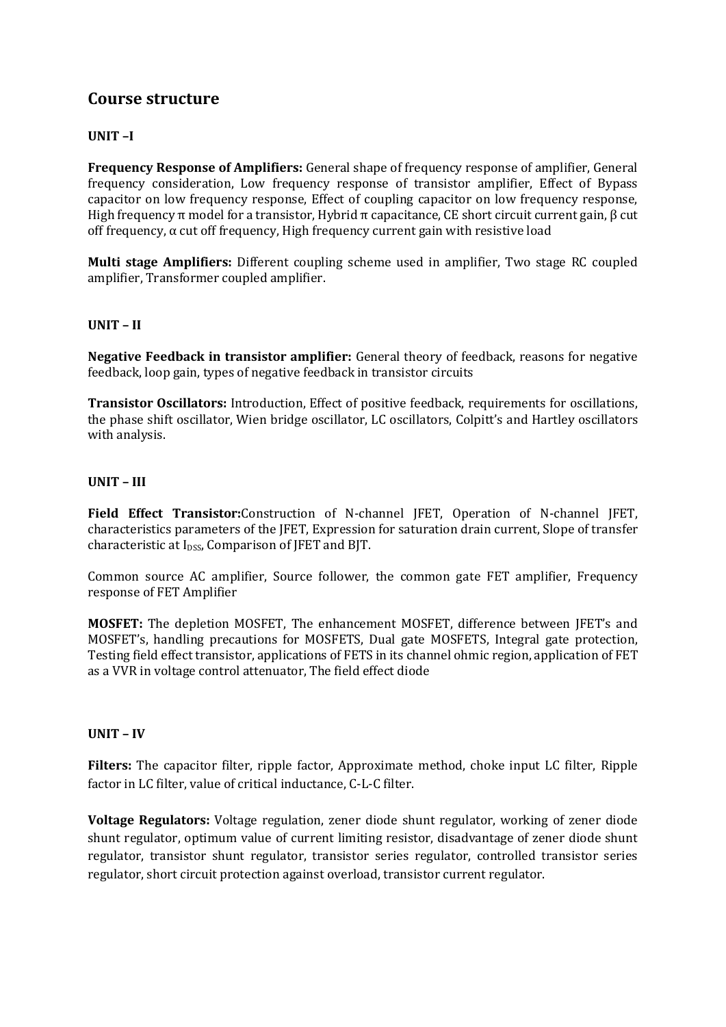#### **UNIT –I**

**Frequency Response of Amplifiers:** General shape of frequency response of amplifier, General frequency consideration, Low frequency response of transistor amplifier, Effect of Bypass capacitor on low frequency response, Effect of coupling capacitor on low frequency response, High frequency π model for a transistor, Hybrid π capacitance, CE short circuit current gain,  $β$  cut off frequency, α cut off frequency, High frequency current gain with resistive load

**Multi stage Amplifiers:** Different coupling scheme used in amplifier, Two stage RC coupled amplifier, Transformer coupled amplifier.

#### **UNIT – II**

**Negative Feedback in transistor amplifier:** General theory of feedback, reasons for negative feedback, loop gain, types of negative feedback in transistor circuits

**Transistor Oscillators:** Introduction, Effect of positive feedback, requirements for oscillations, the phase shift oscillator, Wien bridge oscillator, LC oscillators, Colpitt's and Hartley oscillators with analysis.

#### **UNIT – III**

**Field Effect Transistor:**Construction of N-channel JFET, Operation of N-channel JFET, characteristics parameters of the JFET, Expression for saturation drain current, Slope of transfer characteristic at I<sub>DSS</sub>, Comparison of JFET and BJT.

Common source AC amplifier, Source follower, the common gate FET amplifier, Frequency response of FET Amplifier

**MOSFET:** The depletion MOSFET, The enhancement MOSFET, difference between JFET's and MOSFET's, handling precautions for MOSFETS, Dual gate MOSFETS, Integral gate protection, Testing field effect transistor, applications of FETS in its channel ohmic region, application of FET as a VVR in voltage control attenuator, The field effect diode

#### **UNIT – IV**

**Filters:** The capacitor filter, ripple factor, Approximate method, choke input LC filter, Ripple factor in LC filter, value of critical inductance, C-L-C filter.

**Voltage Regulators:** Voltage regulation, zener diode shunt regulator, working of zener diode shunt regulator, optimum value of current limiting resistor, disadvantage of zener diode shunt regulator, transistor shunt regulator, transistor series regulator, controlled transistor series regulator, short circuit protection against overload, transistor current regulator.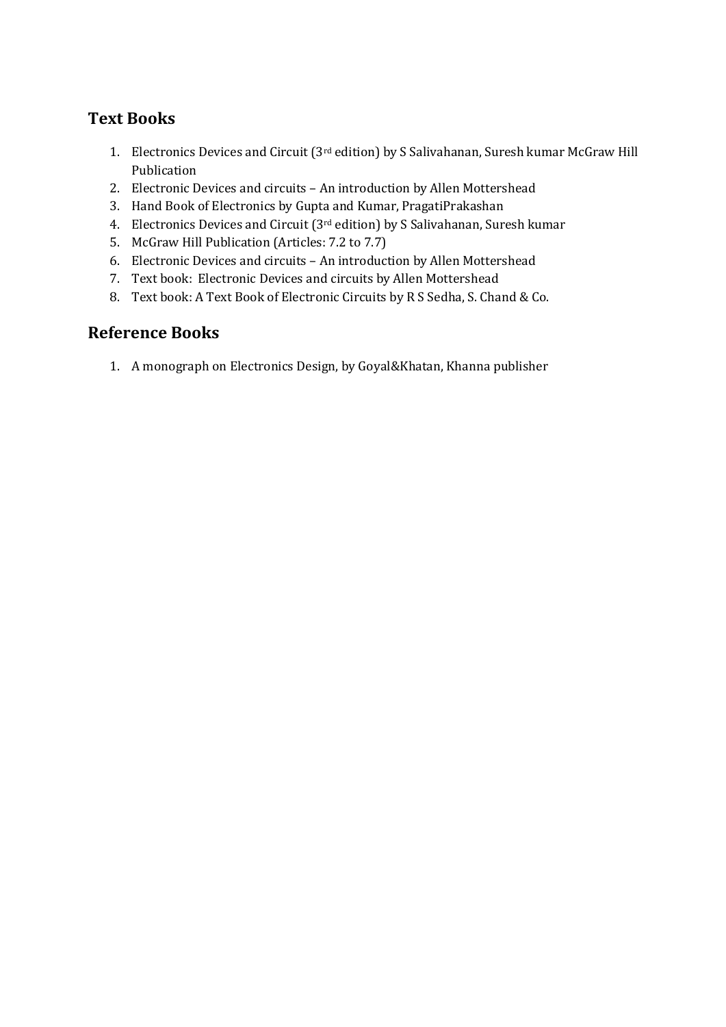## **Text Books**

- 1. Electronics Devices and Circuit (3rd edition) by S Salivahanan, Suresh kumar McGraw Hill Publication
- 2. Electronic Devices and circuits An introduction by Allen Mottershead
- 3. Hand Book of Electronics by Gupta and Kumar, PragatiPrakashan
- 4. Electronics Devices and Circuit (3rd edition) by S Salivahanan, Suresh kumar
- 5. McGraw Hill Publication (Articles: 7.2 to 7.7)
- 6. Electronic Devices and circuits An introduction by Allen Mottershead
- 7. Text book: Electronic Devices and circuits by Allen Mottershead
- 8. Text book: A Text Book of Electronic Circuits by R S Sedha, S. Chand & Co.

## **Reference Books**

1. A monograph on Electronics Design, by Goyal&Khatan, Khanna publisher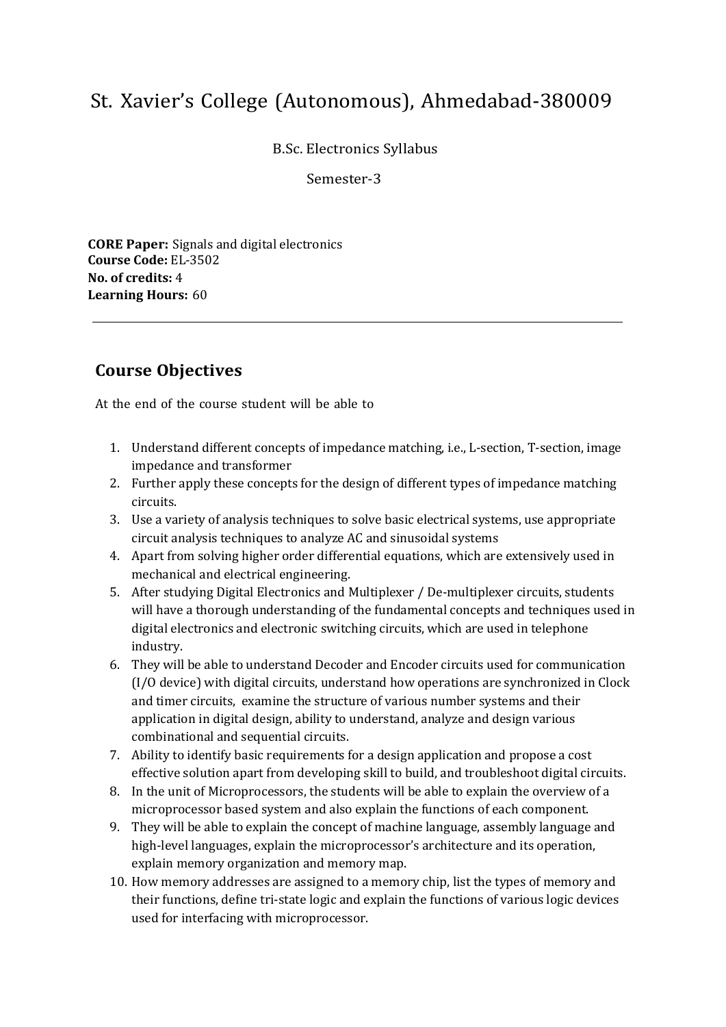B.Sc. Electronics Syllabus

Semester-3

**CORE Paper:** Signals and digital electronics **Course Code:** EL-3502 **No. of credits:** 4 **Learning Hours:** 60

## **Course Objectives**

- 1. Understand different concepts of impedance matching, i.e., L-section, T-section, image impedance and transformer
- 2. Further apply these concepts for the design of different types of impedance matching circuits.
- 3. Use a variety of analysis techniques to solve basic electrical systems, use appropriate circuit analysis techniques to analyze AC and sinusoidal systems
- 4. Apart from solving higher order differential equations, which are extensively used in mechanical and electrical engineering.
- 5. After studying Digital Electronics and Multiplexer / De-multiplexer circuits, students will have a thorough understanding of the fundamental concepts and techniques used in digital electronics and electronic switching circuits, which are used in telephone industry.
- 6. They will be able to understand Decoder and Encoder circuits used for communication (I/O device) with digital circuits, understand how operations are synchronized in Clock and timer circuits, examine the structure of various number systems and their application in digital design, ability to understand, analyze and design various combinational and sequential circuits.
- 7. Ability to identify basic requirements for a design application and propose a cost effective solution apart from developing skill to build, and troubleshoot digital circuits.
- 8. In the unit of Microprocessors, the students will be able to explain the overview of a microprocessor based system and also explain the functions of each component.
- 9. They will be able to explain the concept of machine language, assembly language and high-level languages, explain the microprocessor's architecture and its operation, explain memory organization and memory map.
- 10. How memory addresses are assigned to a memory chip, list the types of memory and their functions, define tri-state logic and explain the functions of various logic devices used for interfacing with microprocessor.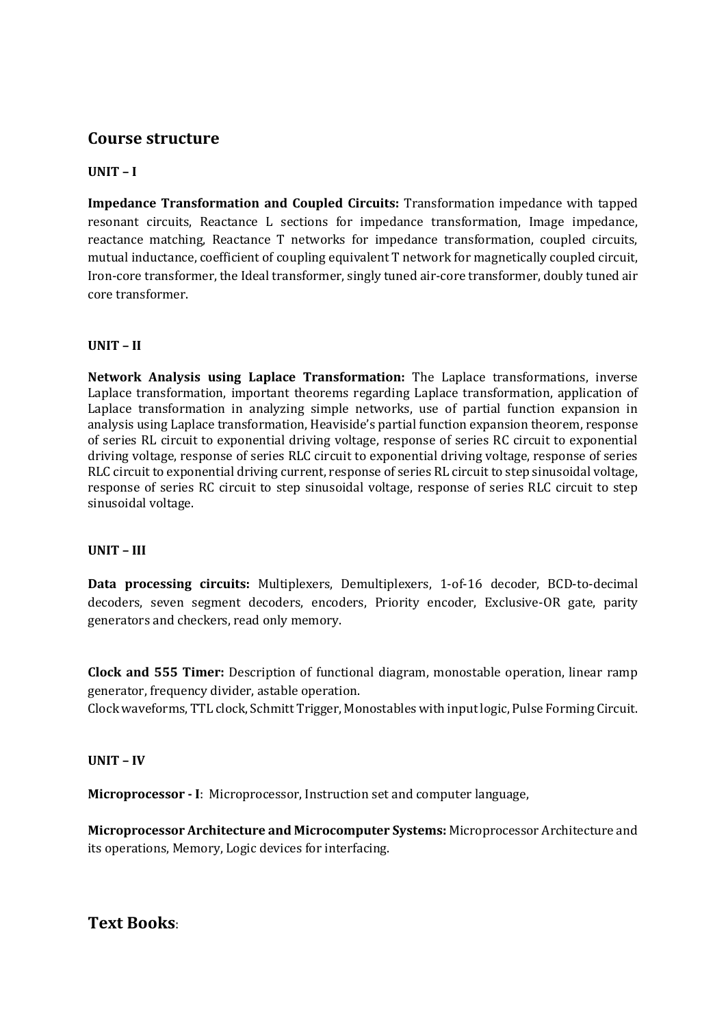#### **UNIT – I**

**Impedance Transformation and Coupled Circuits:** Transformation impedance with tapped resonant circuits, Reactance L sections for impedance transformation, Image impedance, reactance matching, Reactance T networks for impedance transformation, coupled circuits, mutual inductance, coefficient of coupling equivalent T network for magnetically coupled circuit, Iron-core transformer, the Ideal transformer, singly tuned air-core transformer, doubly tuned air core transformer.

#### **UNIT – II**

**Network Analysis using Laplace Transformation:** The Laplace transformations, inverse Laplace transformation, important theorems regarding Laplace transformation, application of Laplace transformation in analyzing simple networks, use of partial function expansion in analysis using Laplace transformation, Heaviside's partial function expansion theorem, response of series RL circuit to exponential driving voltage, response of series RC circuit to exponential driving voltage, response of series RLC circuit to exponential driving voltage, response of series RLC circuit to exponential driving current, response of series RL circuit to step sinusoidal voltage, response of series RC circuit to step sinusoidal voltage, response of series RLC circuit to step sinusoidal voltage.

#### **UNIT – III**

**Data processing circuits:** Multiplexers, Demultiplexers, 1-of-16 decoder, BCD-to-decimal decoders, seven segment decoders, encoders, Priority encoder, Exclusive-OR gate, parity generators and checkers, read only memory.

**Clock and 555 Timer:** Description of functional diagram, monostable operation, linear ramp generator, frequency divider, astable operation.

Clock waveforms, TTL clock, Schmitt Trigger, Monostables with input logic, Pulse Forming Circuit.

#### **UNIT – IV**

**Microprocessor - I**: Microprocessor, Instruction set and computer language,

**Microprocessor Architecture and Microcomputer Systems:** Microprocessor Architecture and its operations, Memory, Logic devices for interfacing.

**Text Books**: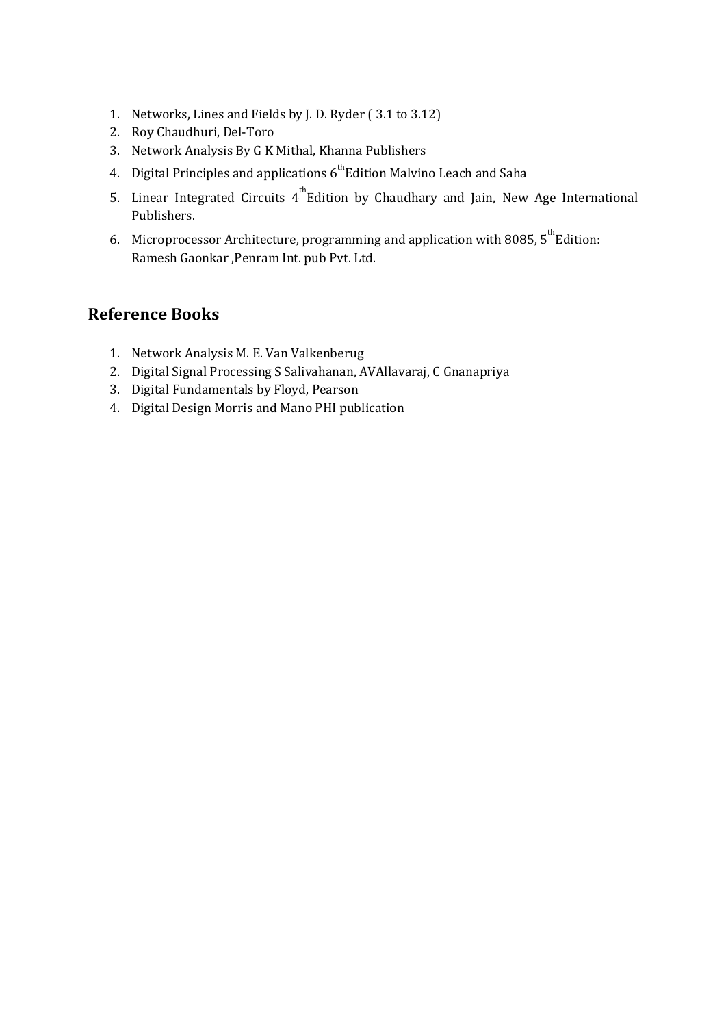- 1. Networks, Lines and Fields by J. D. Ryder ( 3.1 to 3.12)
- 2. Roy Chaudhuri, Del-Toro
- 3. Network Analysis By G K Mithal, Khanna Publishers
- 4. Digital Principles and applications  $6^{th}$ Edition Malvino Leach and Saha
- 5. Linear Integrated Circuits  $4^{th}$ Edition by Chaudhary and Jain, New Age International Publishers.
- 6. Microprocessor Architecture, programming and application with 8085,  $5^{th}$ Edition: Ramesh Gaonkar ,Penram Int. pub Pvt. Ltd.

## **Reference Books**

- 1. Network Analysis M. E. Van Valkenberug
- 2. Digital Signal Processing S Salivahanan, AVAllavaraj, C Gnanapriya
- 3. Digital Fundamentals by Floyd, Pearson
- 4. Digital Design Morris and Mano PHI publication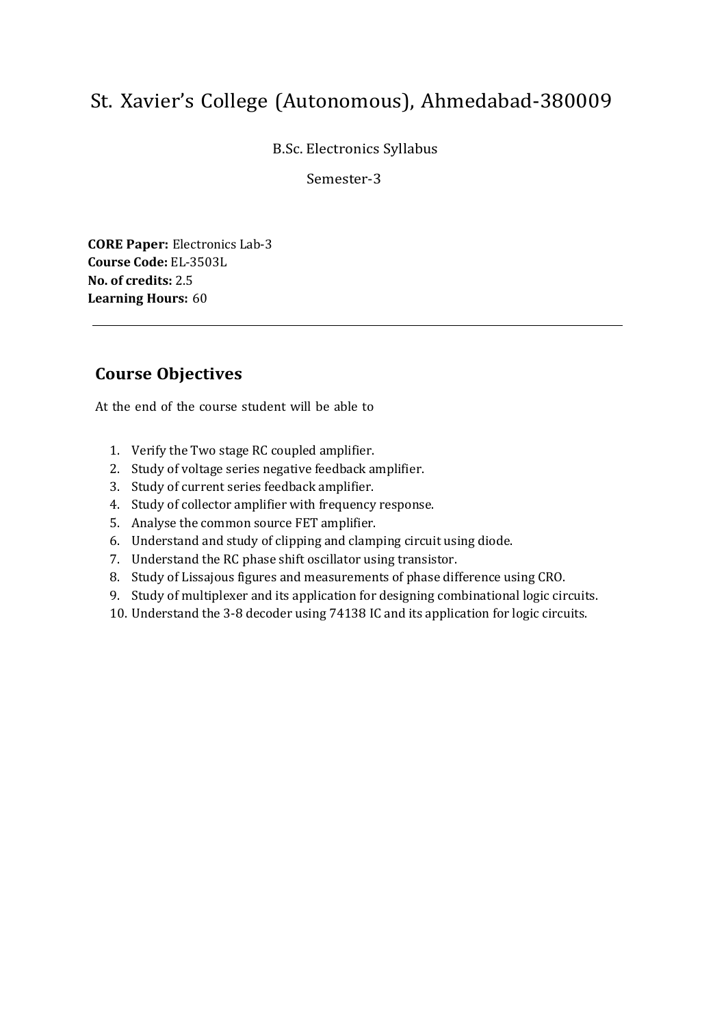B.Sc. Electronics Syllabus

Semester-3

**CORE Paper:** Electronics Lab-3 **Course Code:** EL-3503L **No. of credits:** 2.5 **Learning Hours:** 60

## **Course Objectives**

- 1. Verify the Two stage RC coupled amplifier.
- 2. Study of voltage series negative feedback amplifier.
- 3. Study of current series feedback amplifier.
- 4. Study of collector amplifier with frequency response.
- 5. Analyse the common source FET amplifier.
- 6. Understand and study of clipping and clamping circuit using diode.
- 7. Understand the RC phase shift oscillator using transistor.
- 8. Study of Lissajous figures and measurements of phase difference using CRO.
- 9. Study of multiplexer and its application for designing combinational logic circuits.
- 10. Understand the 3-8 decoder using 74138 IC and its application for logic circuits.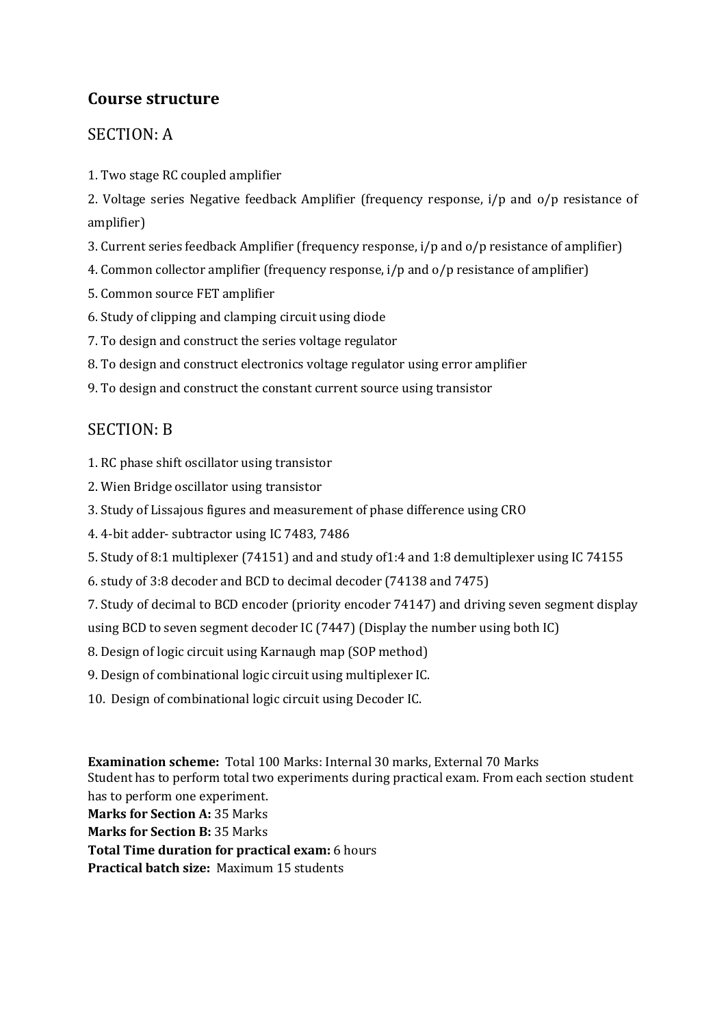## SECTION: A

1. Two stage RC coupled amplifier

2. Voltage series Negative feedback Amplifier (frequency response, i/p and o/p resistance of amplifier)

3. Current series feedback Amplifier (frequency response, i/p and o/p resistance of amplifier)

- 4. Common collector amplifier (frequency response, i/p and o/p resistance of amplifier)
- 5. Common source FET amplifier
- 6. Study of clipping and clamping circuit using diode
- 7. To design and construct the series voltage regulator
- 8. To design and construct electronics voltage regulator using error amplifier
- 9. To design and construct the constant current source using transistor

## SECTION: B

- 1. RC phase shift oscillator using transistor
- 2. Wien Bridge oscillator using transistor
- 3. Study of Lissajous figures and measurement of phase difference using CRO
- 4. 4-bit adder- subtractor using IC 7483, 7486
- 5. Study of 8:1 multiplexer (74151) and and study of1:4 and 1:8 demultiplexer using IC 74155
- 6. study of 3:8 decoder and BCD to decimal decoder (74138 and 7475)
- 7. Study of decimal to BCD encoder (priority encoder 74147) and driving seven segment display
- using BCD to seven segment decoder IC (7447) (Display the number using both IC)
- 8. Design of logic circuit using Karnaugh map (SOP method)
- 9. Design of combinational logic circuit using multiplexer IC.
- 10. Design of combinational logic circuit using Decoder IC.

**Examination scheme:** Total 100 Marks: Internal 30 marks, External 70 Marks Student has to perform total two experiments during practical exam. From each section student has to perform one experiment.

**Marks for Section A:** 35 Marks

**Marks for Section B:** 35 Marks

**Total Time duration for practical exam:** 6 hours

**Practical batch size:** Maximum 15 students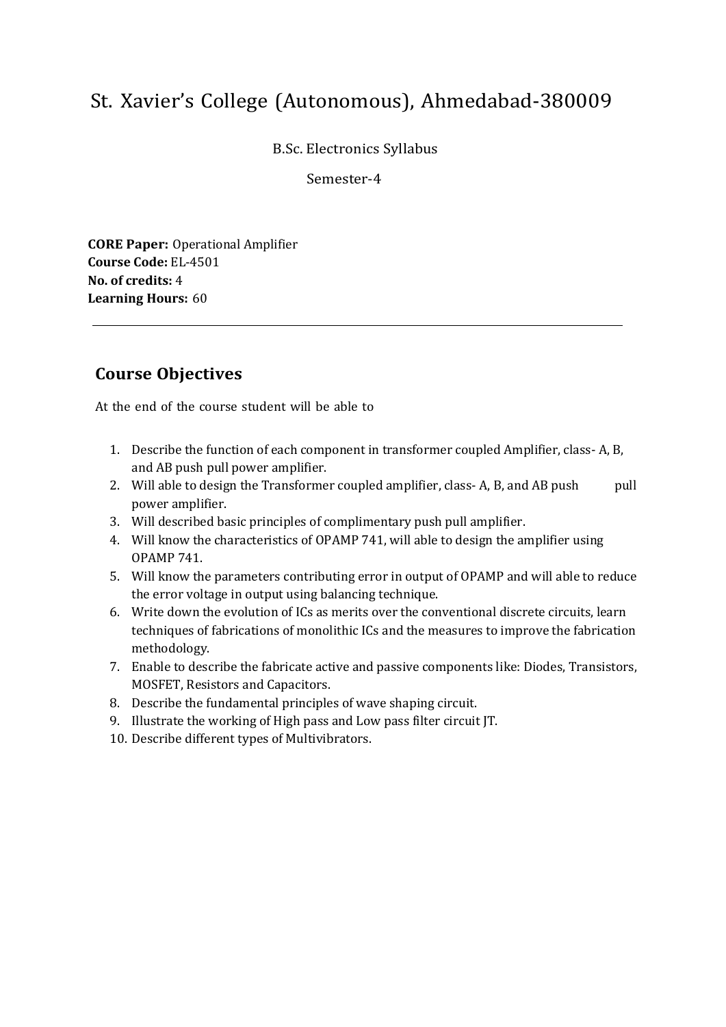B.Sc. Electronics Syllabus

Semester-4

**CORE Paper:** Operational Amplifier **Course Code:** EL-4501 **No. of credits:** 4 **Learning Hours:** 60

## **Course Objectives**

- 1. Describe the function of each component in transformer coupled Amplifier, class- A, B, and AB push pull power amplifier.
- 2. Will able to design the Transformer coupled amplifier, class- A, B, and AB push pull power amplifier.
- 3. Will described basic principles of complimentary push pull amplifier.
- 4. Will know the characteristics of OPAMP 741, will able to design the amplifier using OPAMP 741.
- 5. Will know the parameters contributing error in output of OPAMP and will able to reduce the error voltage in output using balancing technique.
- 6. Write down the evolution of ICs as merits over the conventional discrete circuits, learn techniques of fabrications of monolithic ICs and the measures to improve the fabrication methodology.
- 7. Enable to describe the fabricate active and passive components like: Diodes, Transistors, MOSFET, Resistors and Capacitors.
- 8. Describe the fundamental principles of wave shaping circuit.
- 9. Illustrate the working of High pass and Low pass filter circuit JT.
- 10. Describe different types of Multivibrators.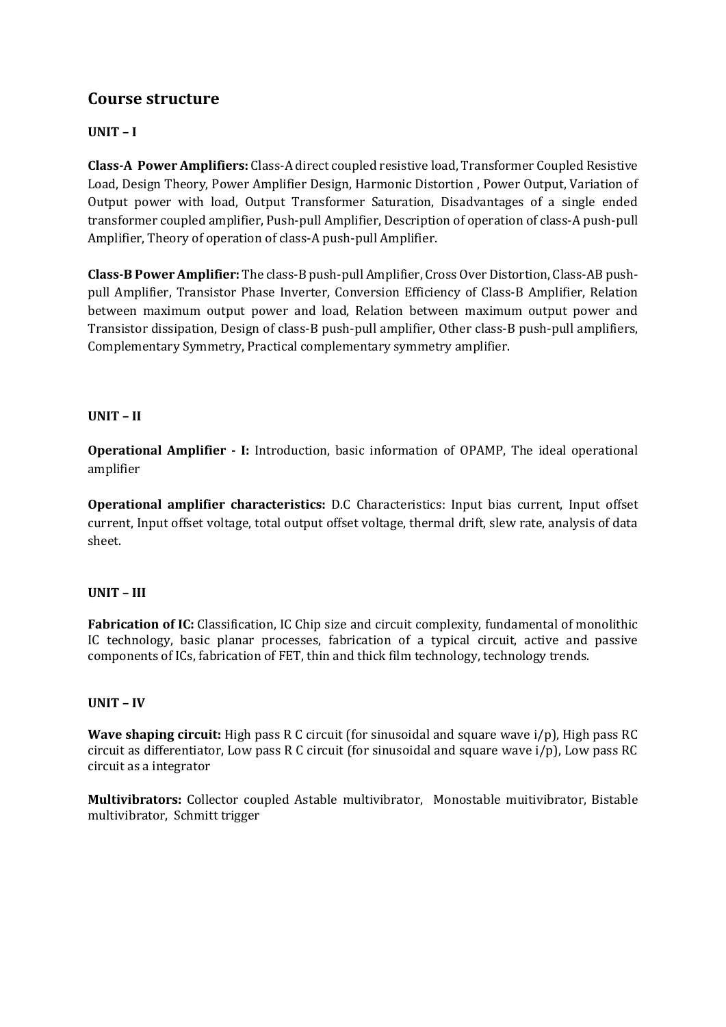### **UNIT – I**

**Class-A Power Amplifiers:** Class-A direct coupled resistive load, Transformer Coupled Resistive Load, Design Theory, Power Amplifier Design, Harmonic Distortion , Power Output, Variation of Output power with load, Output Transformer Saturation, Disadvantages of a single ended transformer coupled amplifier, Push-pull Amplifier, Description of operation of class-A push-pull Amplifier, Theory of operation of class-A push-pull Amplifier.

**Class-B Power Amplifier:** The class-B push-pull Amplifier, Cross Over Distortion, Class-AB pushpull Amplifier, Transistor Phase Inverter, Conversion Efficiency of Class-B Amplifier, Relation between maximum output power and load, Relation between maximum output power and Transistor dissipation, Design of class-B push-pull amplifier, Other class-B push-pull amplifiers, Complementary Symmetry, Practical complementary symmetry amplifier.

### **UNIT – II**

**Operational Amplifier - I:** Introduction, basic information of OPAMP, The ideal operational amplifier

**Operational amplifier characteristics:** D.C Characteristics: Input bias current, Input offset current, Input offset voltage, total output offset voltage, thermal drift, slew rate, analysis of data sheet.

#### **UNIT – III**

**Fabrication of IC:** Classification, IC Chip size and circuit complexity, fundamental of monolithic IC technology, basic planar processes, fabrication of a typical circuit, active and passive components of ICs, fabrication of FET, thin and thick film technology, technology trends.

#### **UNIT – IV**

**Wave shaping circuit:** High pass R C circuit (for sinusoidal and square wave i/p), High pass RC circuit as differentiator, Low pass R C circuit (for sinusoidal and square wave i/p), Low pass RC circuit as a integrator

**Multivibrators:** Collector coupled Astable multivibrator, Monostable muitivibrator, Bistable multivibrator, Schmitt trigger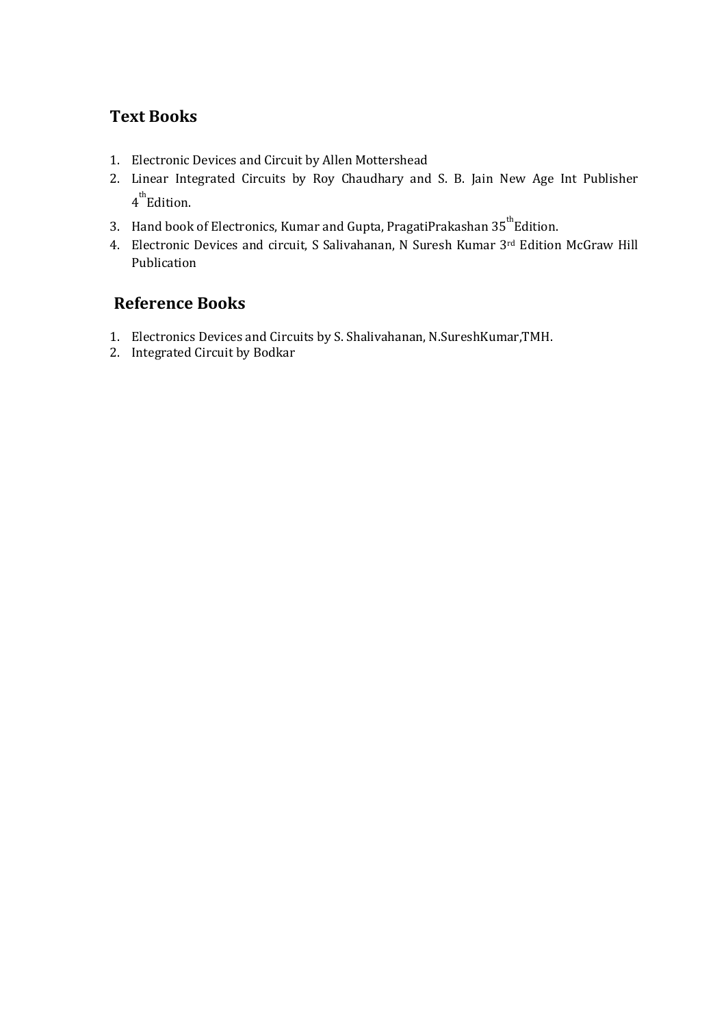## **Text Books**

- 1. Electronic Devices and Circuit by Allen Mottershead
- 2. Linear Integrated Circuits by Roy Chaudhary and S. B. Jain New Age Int Publisher 4<sup>th</sup>Edition.
- 3. Hand book of Electronics, Kumar and Gupta, PragatiPrakashan  $35^{th}$ Edition.
- 4. Electronic Devices and circuit, S Salivahanan, N Suresh Kumar 3rd Edition McGraw Hill Publication

## **Reference Books**

- 1. Electronics Devices and Circuits by S. Shalivahanan, N.SureshKumar,TMH.
- 2. Integrated Circuit by Bodkar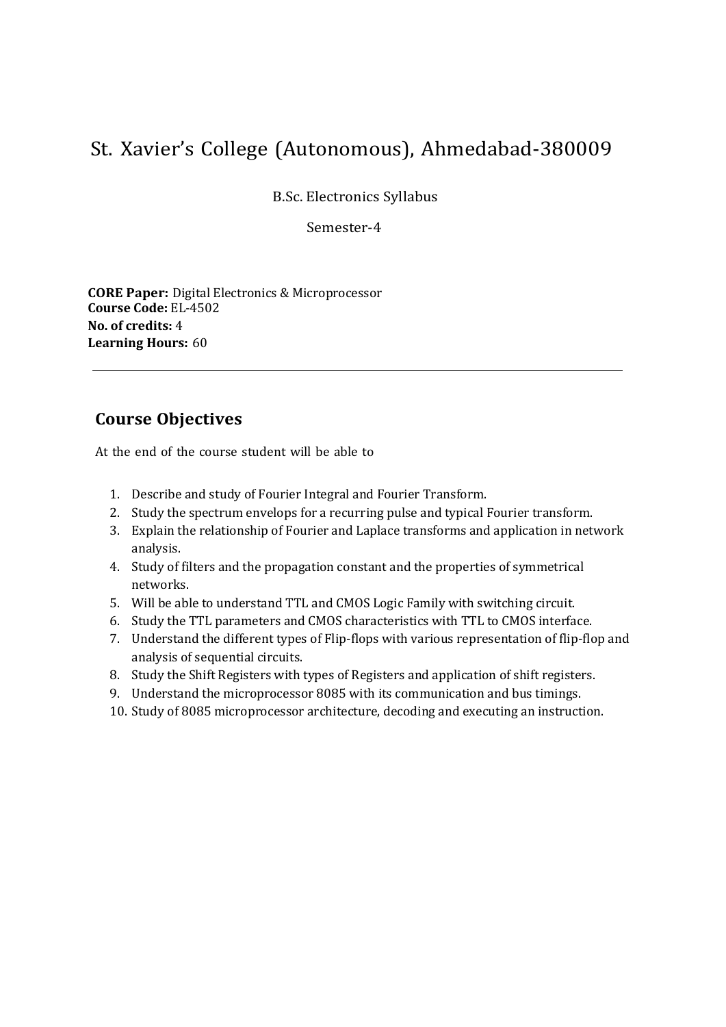B.Sc. Electronics Syllabus

Semester-4

**CORE Paper:** Digital Electronics & Microprocessor **Course Code:** EL-4502 **No. of credits:** 4 **Learning Hours:** 60

## **Course Objectives**

- 1. Describe and study of Fourier Integral and Fourier Transform.
- 2. Study the spectrum envelops for a recurring pulse and typical Fourier transform.
- 3. Explain the relationship of Fourier and Laplace transforms and application in network analysis.
- 4. Study of filters and the propagation constant and the properties of symmetrical networks.
- 5. Will be able to understand TTL and CMOS Logic Family with switching circuit.
- 6. Study the TTL parameters and CMOS characteristics with TTL to CMOS interface.
- 7. Understand the different types of Flip-flops with various representation of flip-flop and analysis of sequential circuits.
- 8. Study the Shift Registers with types of Registers and application of shift registers.
- 9. Understand the microprocessor 8085 with its communication and bus timings.
- 10. Study of 8085 microprocessor architecture, decoding and executing an instruction.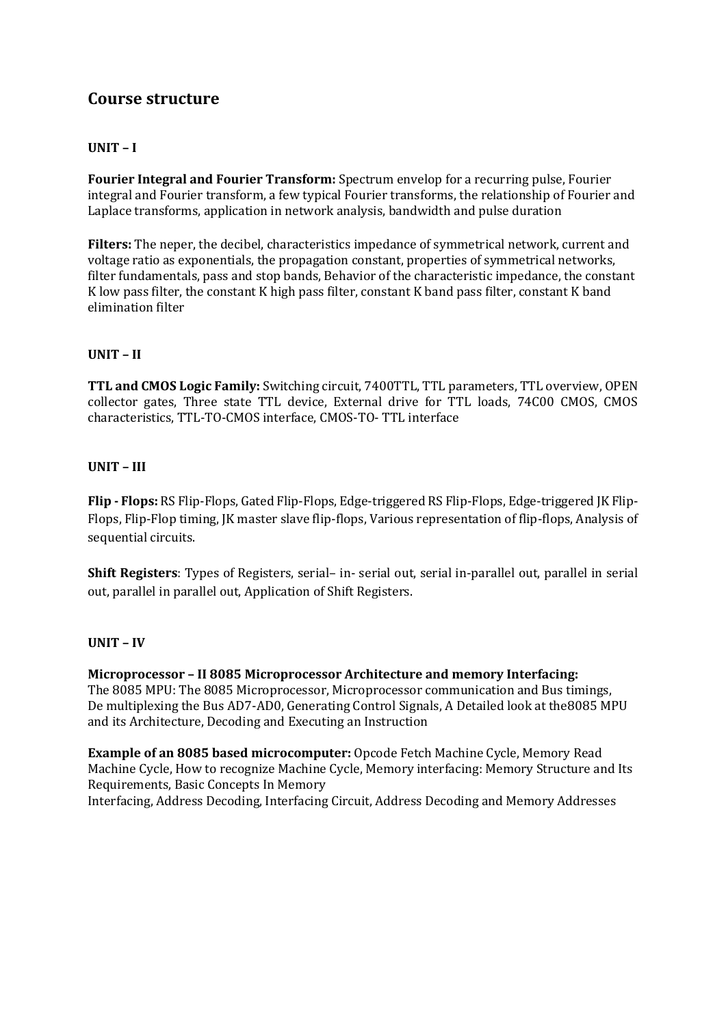### **UNIT – I**

**Fourier Integral and Fourier Transform:** Spectrum envelop for a recurring pulse, Fourier integral and Fourier transform, a few typical Fourier transforms, the relationship of Fourier and Laplace transforms, application in network analysis, bandwidth and pulse duration

**Filters:** The neper, the decibel, characteristics impedance of symmetrical network, current and voltage ratio as exponentials, the propagation constant, properties of symmetrical networks, filter fundamentals, pass and stop bands, Behavior of the characteristic impedance, the constant K low pass filter, the constant K high pass filter, constant K band pass filter, constant K band elimination filter

#### **UNIT – II**

**TTL and CMOS Logic Family:** Switching circuit, 7400TTL, TTL parameters, TTL overview, OPEN collector gates, Three state TTL device, External drive for TTL loads, 74C00 CMOS, CMOS characteristics, TTL-TO-CMOS interface, CMOS-TO- TTL interface

#### **UNIT – III**

**Flip - Flops:** RS Flip-Flops, Gated Flip-Flops, Edge-triggered RS Flip-Flops, Edge-triggered JK Flip-Flops, Flip-Flop timing, JK master slave flip-flops, Various representation of flip-flops, Analysis of sequential circuits.

**Shift Registers**: Types of Registers, serial– in- serial out, serial in-parallel out, parallel in serial out, parallel in parallel out, Application of Shift Registers.

#### **UNIT – IV**

**Microprocessor – II 8085 Microprocessor Architecture and memory Interfacing:** The 8085 MPU: The 8085 Microprocessor, Microprocessor communication and Bus timings, De multiplexing the Bus AD7‐AD0, Generating Control Signals, A Detailed look at the8085 MPU and its Architecture, Decoding and Executing an Instruction

**Example of an 8085 based microcomputer:** Opcode Fetch Machine Cycle, Memory Read Machine Cycle, How to recognize Machine Cycle, Memory interfacing: Memory Structure and Its Requirements, Basic Concepts In Memory Interfacing, Address Decoding, Interfacing Circuit, Address Decoding and Memory Addresses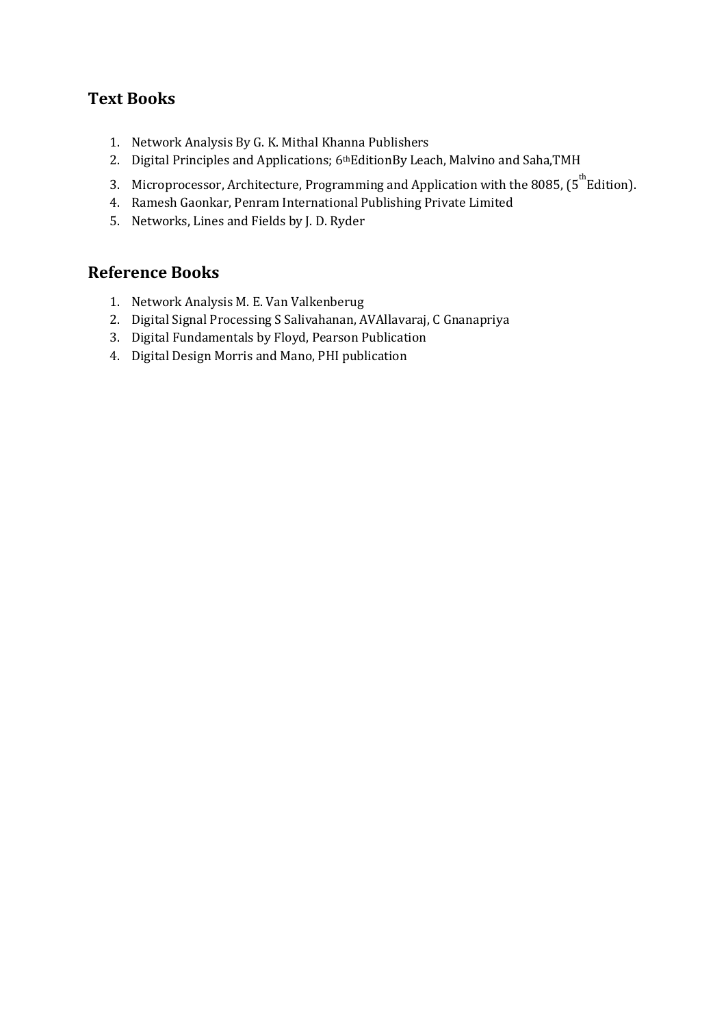## **Text Books**

- 1. Network Analysis By G. K. Mithal Khanna Publishers
- 2. Digital Principles and Applications; 6<sup>th</sup>EditionBy Leach, Malvino and Saha, TMH
- 3. Microprocessor, Architecture, Programming and Application with the 8085, (5<sup>th</sup>Edition).
- 4. Ramesh Gaonkar, Penram International Publishing Private Limited
- 5. Networks, Lines and Fields by J. D. Ryder

## **Reference Books**

- 1. Network Analysis M. E. Van Valkenberug
- 2. Digital Signal Processing S Salivahanan, AVAllavaraj, C Gnanapriya
- 3. Digital Fundamentals by Floyd, Pearson Publication
- 4. Digital Design Morris and Mano, PHI publication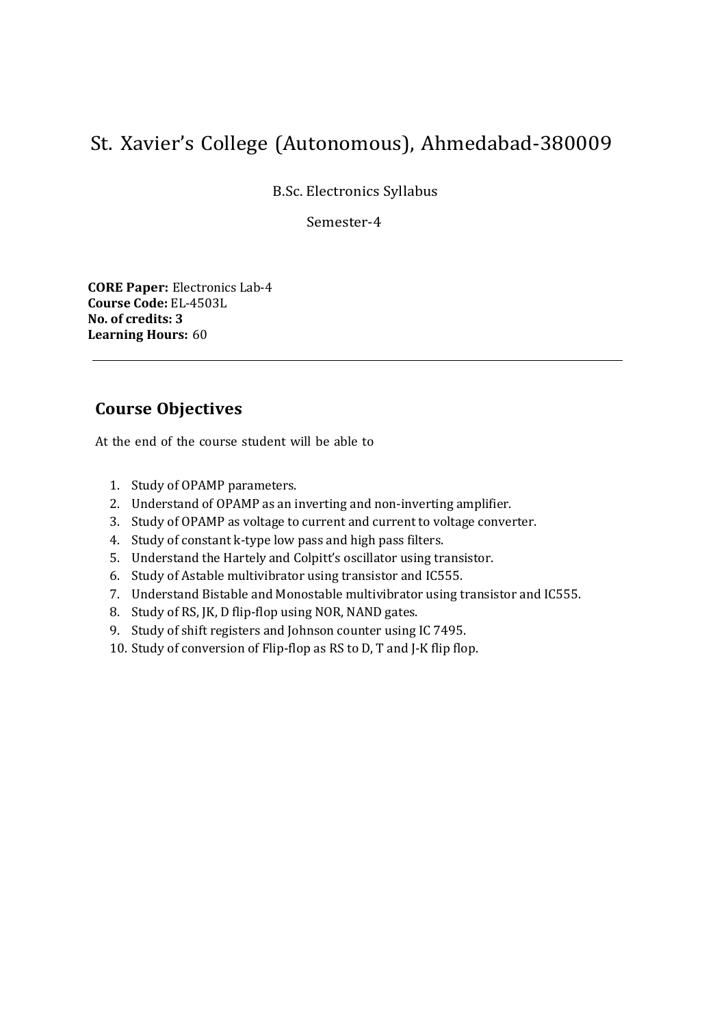B.Sc. Electronics Syllabus

Semester-4

**CORE Paper:** Electronics Lab-4 **Course Code:** EL-4503L **No. of credits: 3 Learning Hours:** 60

## **Course Objectives**

- 1. Study of OPAMP parameters.
- 2. Understand of OPAMP as an inverting and non-inverting amplifier.
- 3. Study of OPAMP as voltage to current and current to voltage converter.
- 4. Study of constant k-type low pass and high pass filters.
- 5. Understand the Hartely and Colpitt's oscillator using transistor.
- 6. Study of Astable multivibrator using transistor and IC555.
- 7. Understand Bistable and Monostable multivibrator using transistor and IC555.
- 8. Study of RS, JK, D flip-flop using NOR, NAND gates.
- 9. Study of shift registers and Johnson counter using IC 7495.
- 10. Study of conversion of Flip-flop as RS to D, T and J-K flip flop.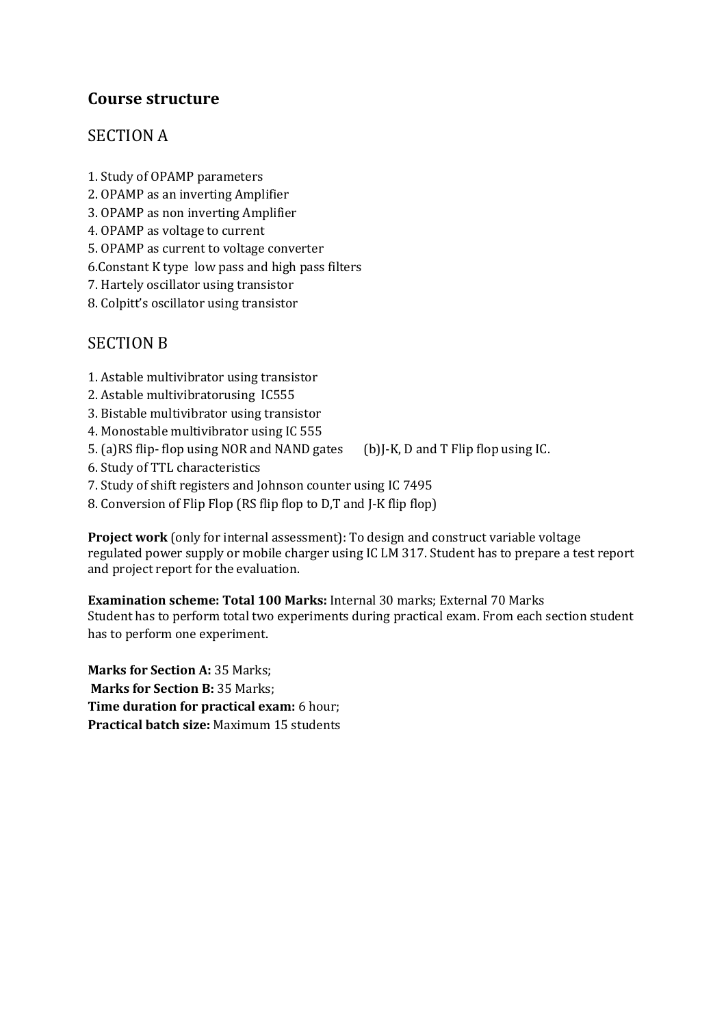## SECTION A

- 1. Study of OPAMP parameters
- 2. OPAMP as an inverting Amplifier
- 3. OPAMP as non inverting Amplifier
- 4. OPAMP as voltage to current
- 5. OPAMP as current to voltage converter
- 6.Constant K type low pass and high pass filters
- 7. Hartely oscillator using transistor
- 8. Colpitt's oscillator using transistor

## SECTION B

- 1. Astable multivibrator using transistor
- 2. Astable multivibratorusing IC555
- 3. Bistable multivibrator using transistor
- 4. Monostable multivibrator using IC 555
- 5. (a)RS flip- flop using NOR and NAND gates (b)J-K, D and T Flip flop using IC.
- 6. Study of TTL characteristics
- 7. Study of shift registers and Johnson counter using IC 7495
- 8. Conversion of Flip Flop (RS flip flop to D,T and J-K flip flop)

**Project work** (only for internal assessment): To design and construct variable voltage regulated power supply or mobile charger using IC LM 317. Student has to prepare a test report and project report for the evaluation.

**Examination scheme: Total 100 Marks:** Internal 30 marks; External 70 Marks Student has to perform total two experiments during practical exam. From each section student has to perform one experiment.

**Marks for Section A: 35 Marks; Marks for Section B:** 35 Marks; **Time duration for practical exam:** 6 hour; **Practical batch size:** Maximum 15 students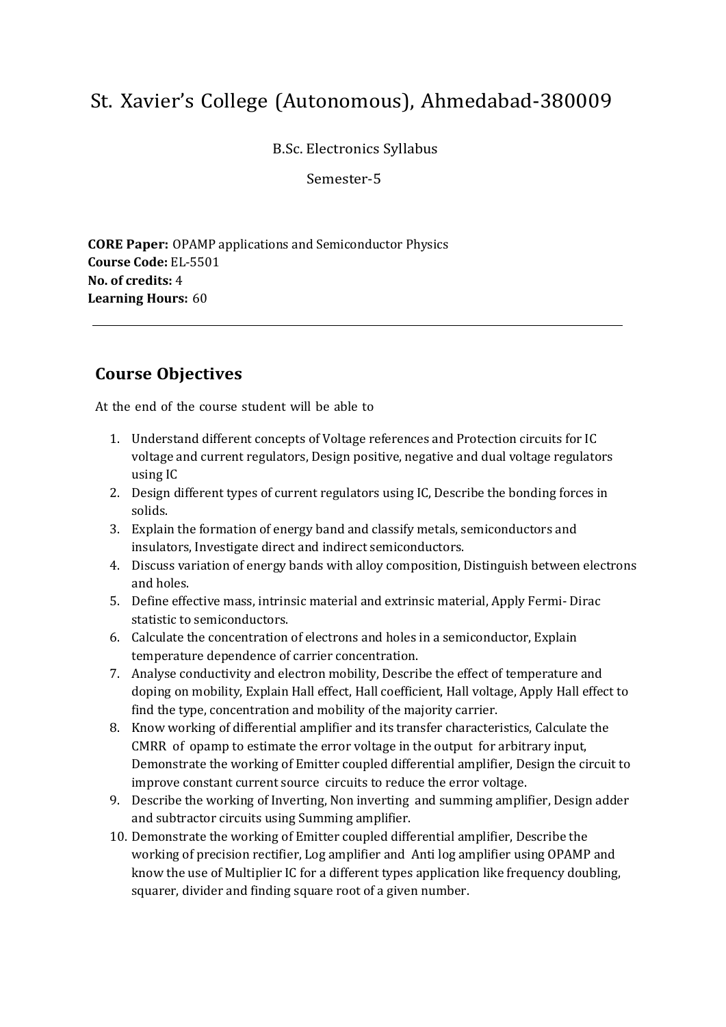B.Sc. Electronics Syllabus

Semester-5

**CORE Paper:** OPAMP applications and Semiconductor Physics **Course Code:** EL-5501 **No. of credits:** 4 **Learning Hours:** 60

## **Course Objectives**

- 1. Understand different concepts of Voltage references and Protection circuits for IC voltage and current regulators, Design positive, negative and dual voltage regulators using IC
- 2. Design different types of current regulators using IC, Describe the bonding forces in solids.
- 3. Explain the formation of energy band and classify metals, semiconductors and insulators, Investigate direct and indirect semiconductors.
- 4. Discuss variation of energy bands with alloy composition, Distinguish between electrons and holes.
- 5. Define effective mass, intrinsic material and extrinsic material, Apply Fermi- Dirac statistic to semiconductors.
- 6. Calculate the concentration of electrons and holes in a semiconductor, Explain temperature dependence of carrier concentration.
- 7. Analyse conductivity and electron mobility, Describe the effect of temperature and doping on mobility, Explain Hall effect, Hall coefficient, Hall voltage, Apply Hall effect to find the type, concentration and mobility of the majority carrier.
- 8. Know working of differential amplifier and its transfer characteristics, Calculate the CMRR of opamp to estimate the error voltage in the output for arbitrary input, Demonstrate the working of Emitter coupled differential amplifier, Design the circuit to improve constant current source circuits to reduce the error voltage.
- 9. Describe the working of Inverting, Non inverting and summing amplifier, Design adder and subtractor circuits using Summing amplifier.
- 10. Demonstrate the working of Emitter coupled differential amplifier, Describe the working of precision rectifier, Log amplifier and Anti log amplifier using OPAMP and know the use of Multiplier IC for a different types application like frequency doubling, squarer, divider and finding square root of a given number.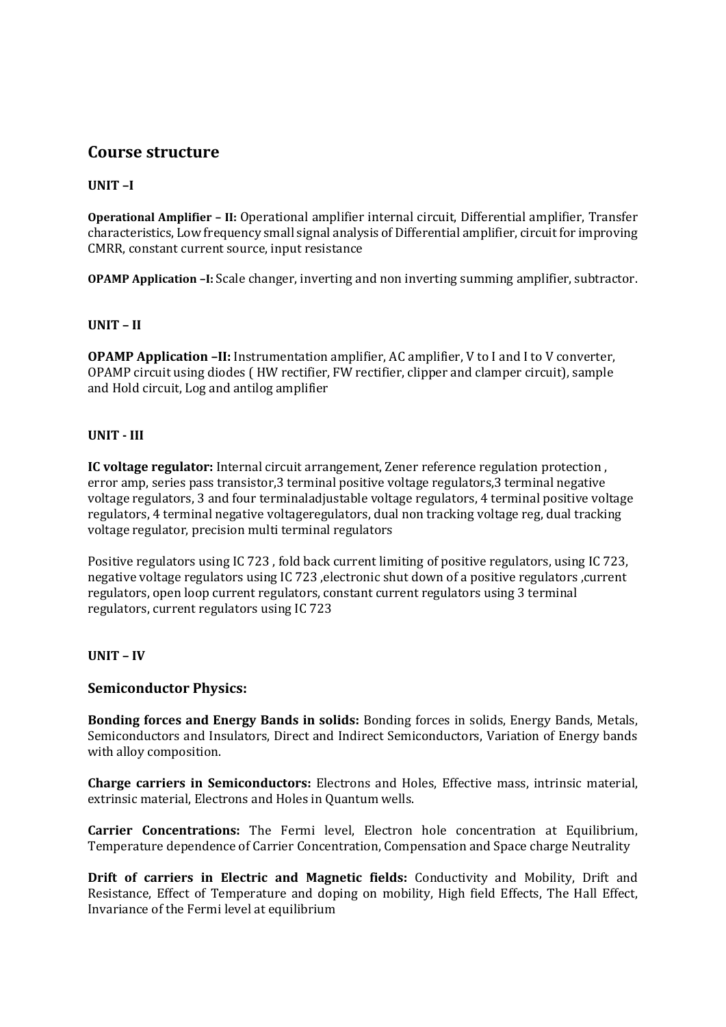#### **UNIT –I**

**Operational Amplifier – II:** Operational amplifier internal circuit, Differential amplifier, Transfer characteristics, Low frequency small signal analysis of Differential amplifier, circuit for improving CMRR, constant current source, input resistance

**OPAMP Application –I:** Scale changer, inverting and non inverting summing amplifier, subtractor.

#### **UNIT – II**

**OPAMP Application –II:** Instrumentation amplifier, AC amplifier, V to I and I to V converter, OPAMP circuit using diodes ( HW rectifier, FW rectifier, clipper and clamper circuit), sample and Hold circuit, Log and antilog amplifier

#### **UNIT - III**

**IC voltage regulator:** Internal circuit arrangement, Zener reference regulation protection , error amp, series pass transistor,3 terminal positive voltage regulators,3 terminal negative voltage regulators, 3 and four terminaladjustable voltage regulators, 4 terminal positive voltage regulators, 4 terminal negative voltageregulators, dual non tracking voltage reg, dual tracking voltage regulator, precision multi terminal regulators

Positive regulators using IC 723 , fold back current limiting of positive regulators, using IC 723, negative voltage regulators using IC 723 ,electronic shut down of a positive regulators ,current regulators, open loop current regulators, constant current regulators using 3 terminal regulators, current regulators using IC 723

#### **UNIT – IV**

#### **Semiconductor Physics:**

**Bonding forces and Energy Bands in solids:** Bonding forces in solids, Energy Bands, Metals, Semiconductors and Insulators, Direct and Indirect Semiconductors, Variation of Energy bands with alloy composition.

**Charge carriers in Semiconductors:** Electrons and Holes, Effective mass, intrinsic material, extrinsic material, Electrons and Holes in Quantum wells.

**Carrier Concentrations:** The Fermi level, Electron hole concentration at Equilibrium, Temperature dependence of Carrier Concentration, Compensation and Space charge Neutrality

**Drift of carriers in Electric and Magnetic fields:** Conductivity and Mobility, Drift and Resistance, Effect of Temperature and doping on mobility, High field Effects, The Hall Effect, Invariance of the Fermi level at equilibrium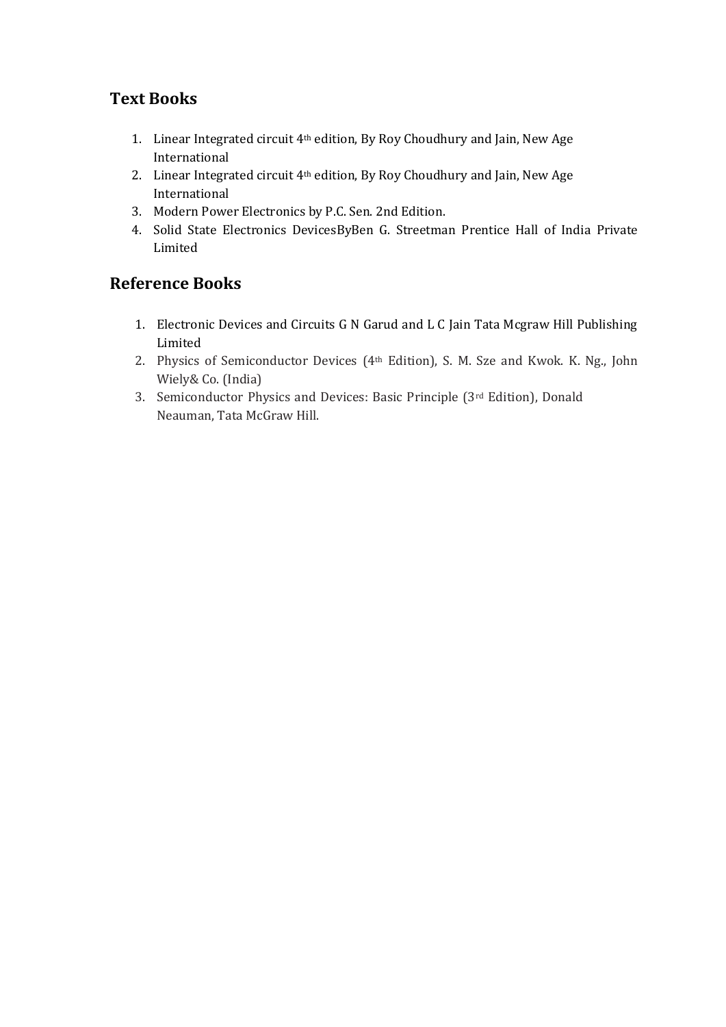## **Text Books**

- 1. Linear Integrated circuit 4th edition, By Roy Choudhury and Jain, New Age International
- 2. Linear Integrated circuit 4th edition, By Roy Choudhury and Jain, New Age International
- 3. Modern Power Electronics by P.C. Sen. 2nd Edition.
- 4. Solid State Electronics DevicesByBen G. Streetman Prentice Hall of India Private Limited

## **Reference Books**

- 1. Electronic Devices and Circuits G N Garud and L C Jain Tata Mcgraw Hill Publishing Limited
- 2. Physics of Semiconductor Devices (4th Edition), S. M. Sze and Kwok. K. Ng., John Wiely& Co. (India)
- 3. Semiconductor Physics and Devices: Basic Principle (3rd Edition), Donald Neauman, Tata McGraw Hill.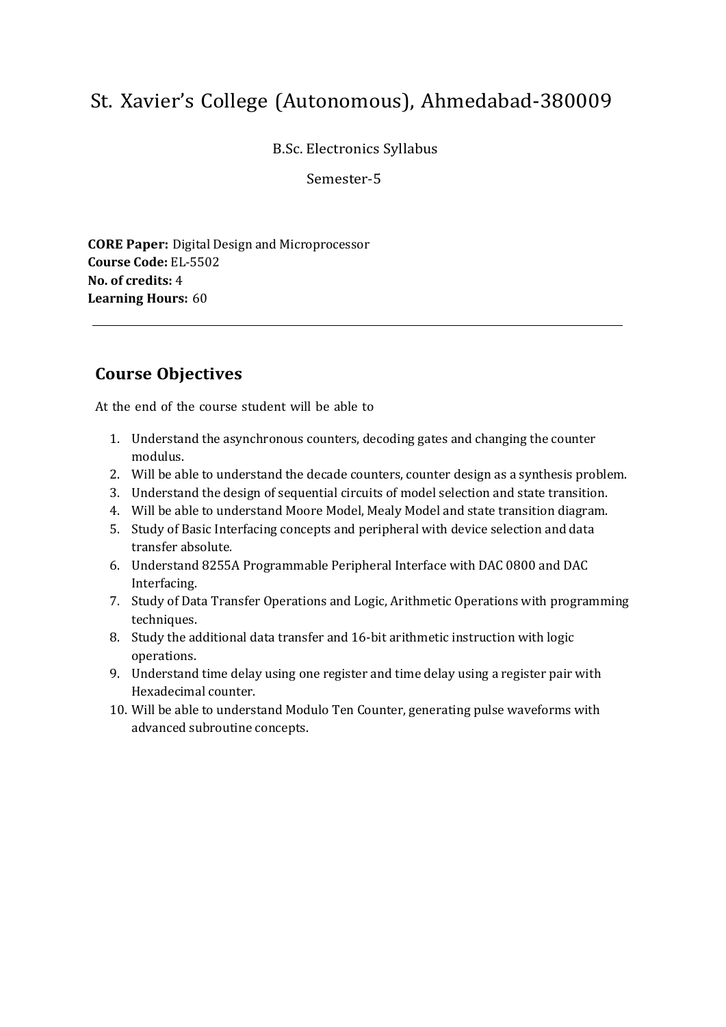B.Sc. Electronics Syllabus

Semester-5

**CORE Paper:** Digital Design and Microprocessor **Course Code:** EL-5502 **No. of credits:** 4 **Learning Hours:** 60

## **Course Objectives**

- 1. Understand the asynchronous counters, decoding gates and changing the counter modulus.
- 2. Will be able to understand the decade counters, counter design as a synthesis problem.
- 3. Understand the design of sequential circuits of model selection and state transition.
- 4. Will be able to understand Moore Model, Mealy Model and state transition diagram.
- 5. Study of Basic Interfacing concepts and peripheral with device selection and data transfer absolute.
- 6. Understand 8255A Programmable Peripheral Interface with DAC 0800 and DAC Interfacing.
- 7. Study of Data Transfer Operations and Logic, Arithmetic Operations with programming techniques.
- 8. Study the additional data transfer and 16-bit arithmetic instruction with logic operations.
- 9. Understand time delay using one register and time delay using a register pair with Hexadecimal counter.
- 10. Will be able to understand Modulo Ten Counter, generating pulse waveforms with advanced subroutine concepts.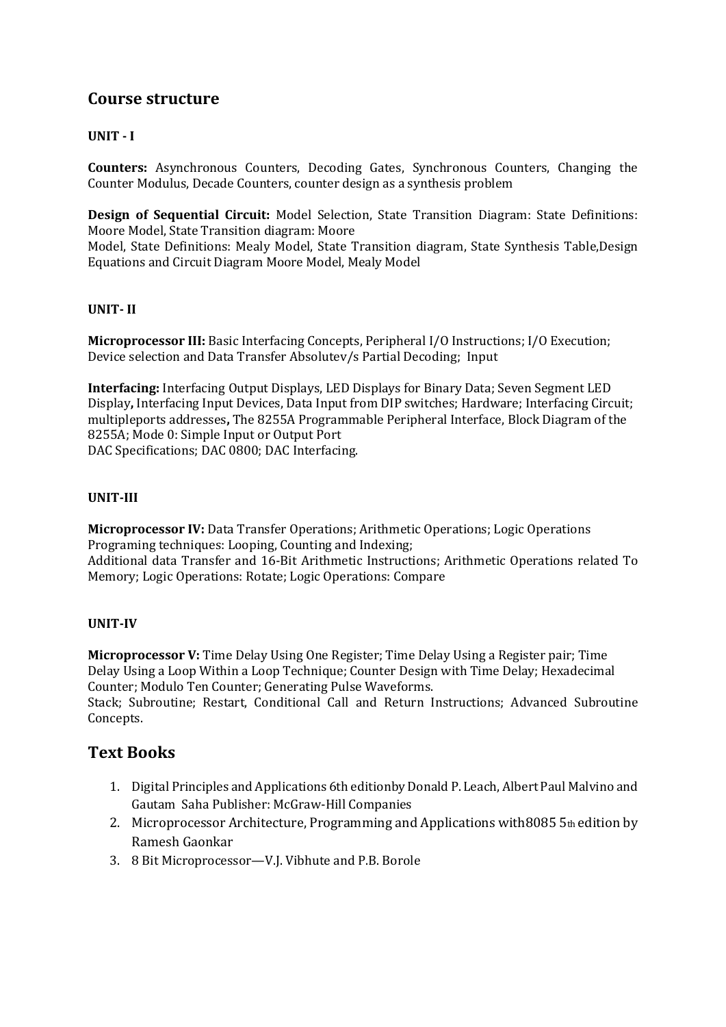#### **UNIT - I**

**Counters:** Asynchronous Counters, Decoding Gates, Synchronous Counters, Changing the Counter Modulus, Decade Counters, counter design as a synthesis problem

**Design of Sequential Circuit:** Model Selection, State Transition Diagram: State Definitions: Moore Model, State Transition diagram: Moore

Model, State Definitions: Mealy Model, State Transition diagram, State Synthesis Table,Design Equations and Circuit Diagram Moore Model, Mealy Model

#### **UNIT- II**

**Microprocessor III:** Basic Interfacing Concepts, Peripheral I/O Instructions; I/O Execution; Device selection and Data Transfer Absolutev/s Partial Decoding; Input

**Interfacing:** Interfacing Output Displays, LED Displays for Binary Data; Seven Segment LED Display**,** Interfacing Input Devices, Data Input from DIP switches; Hardware; Interfacing Circuit; multipleports addresses**,** The 8255A Programmable Peripheral Interface, Block Diagram of the 8255A; Mode 0: Simple Input or Output Port DAC Specifications; DAC 0800; DAC Interfacing.

#### **UNIT-III**

**Microprocessor IV:** Data Transfer Operations; Arithmetic Operations; Logic Operations Programing techniques: Looping, Counting and Indexing; Additional data Transfer and 16-Bit Arithmetic Instructions; Arithmetic Operations related To Memory; Logic Operations: Rotate; Logic Operations: Compare

#### **UNIT-IV**

**Microprocessor V:** Time Delay Using One Register; Time Delay Using a Register pair; Time Delay Using a Loop Within a Loop Technique; Counter Design with Time Delay; Hexadecimal Counter; Modulo Ten Counter; Generating Pulse Waveforms.

Stack; Subroutine; Restart, Conditional Call and Return Instructions; Advanced Subroutine Concepts.

### **Text Books**

- 1. Digital Principles and Applications 6th editionby Donald P. Leach, Albert Paul Malvino and Gautam Saha Publisher: McGraw‐Hill Companies
- 2. Microprocessor Architecture, Programming and Applications with8085 5th edition by Ramesh Gaonkar
- 3. 8 Bit Microprocessor—V.J. Vibhute and P.B. Borole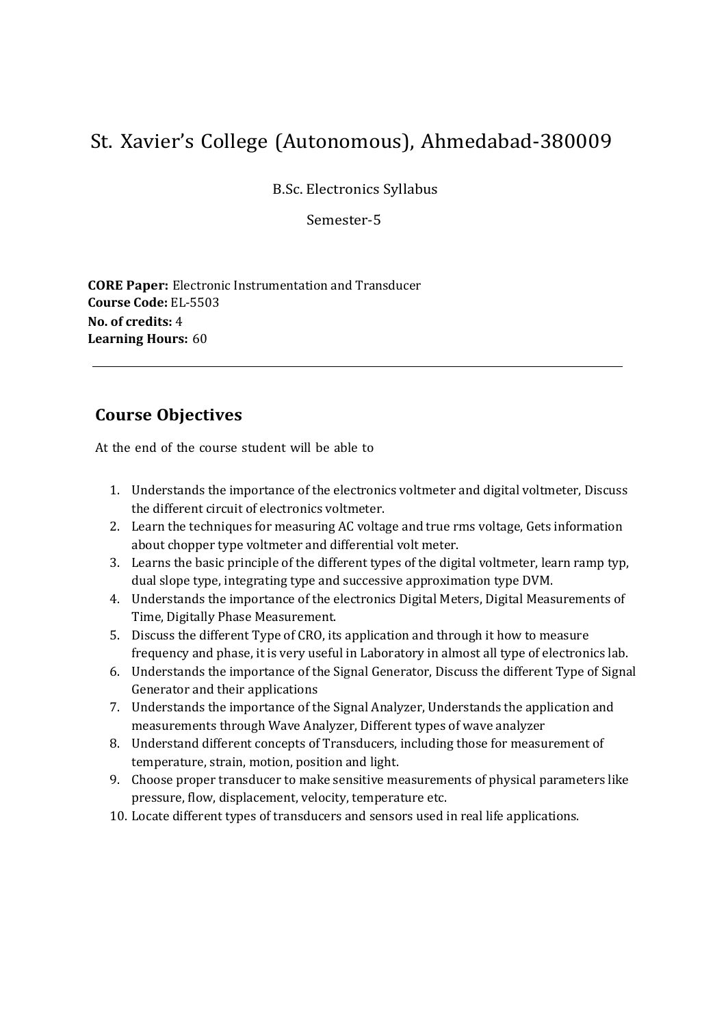B.Sc. Electronics Syllabus

Semester-5

**CORE Paper:** Electronic Instrumentation and Transducer **Course Code:** EL-5503 **No. of credits:** 4 **Learning Hours:** 60

## **Course Objectives**

- 1. Understands the importance of the electronics voltmeter and digital voltmeter, Discuss the different circuit of electronics voltmeter.
- 2. Learn the techniques for measuring AC voltage and true rms voltage, Gets information about chopper type voltmeter and differential volt meter.
- 3. Learns the basic principle of the different types of the digital voltmeter, learn ramp typ, dual slope type, integrating type and successive approximation type DVM.
- 4. Understands the importance of the electronics Digital Meters, Digital Measurements of Time, Digitally Phase Measurement.
- 5. Discuss the different Type of CRO, its application and through it how to measure frequency and phase, it is very useful in Laboratory in almost all type of electronics lab.
- 6. Understands the importance of the Signal Generator, Discuss the different Type of Signal Generator and their applications
- 7. Understands the importance of the Signal Analyzer, Understands the application and measurements through Wave Analyzer, Different types of wave analyzer
- 8. Understand different concepts of Transducers, including those for measurement of temperature, strain, motion, position and light.
- 9. Choose proper transducer to make sensitive measurements of physical parameters like pressure, flow, displacement, velocity, temperature etc.
- 10. Locate different types of transducers and sensors used in real life applications.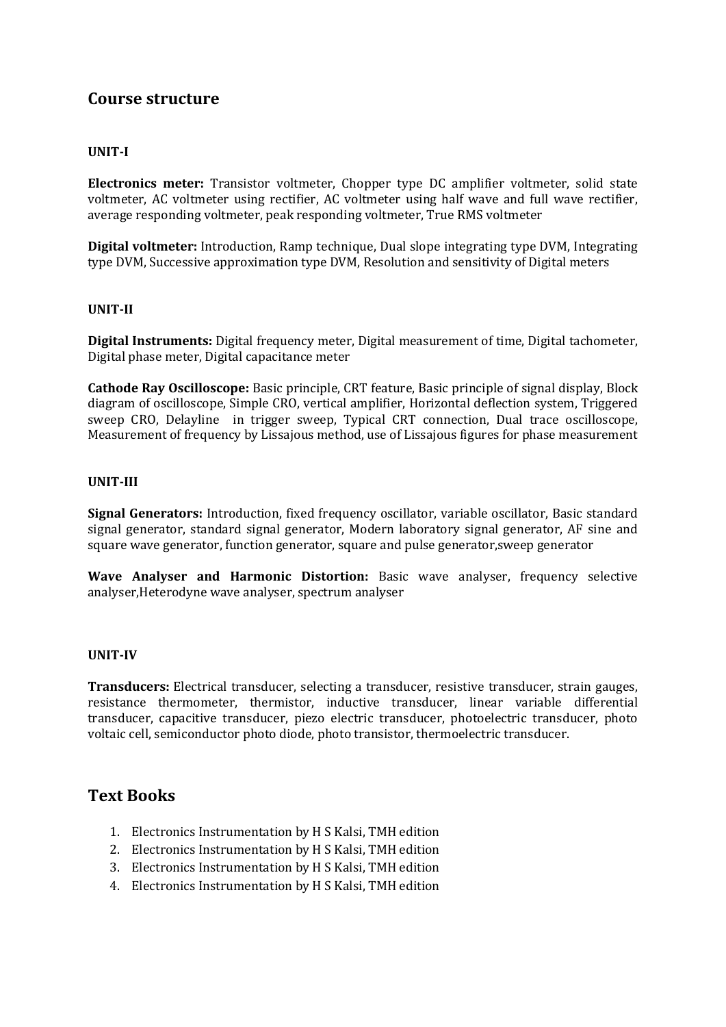#### **UNIT-I**

**Electronics meter:** Transistor voltmeter, Chopper type DC amplifier voltmeter, solid state voltmeter, AC voltmeter using rectifier, AC voltmeter using half wave and full wave rectifier, average responding voltmeter, peak responding voltmeter, True RMS voltmeter

**Digital voltmeter:** Introduction, Ramp technique, Dual slope integrating type DVM, Integrating type DVM, Successive approximation type DVM, Resolution and sensitivity of Digital meters

#### **UNIT-II**

**Digital Instruments:** Digital frequency meter, Digital measurement of time, Digital tachometer, Digital phase meter, Digital capacitance meter

**Cathode Ray Oscilloscope:** Basic principle, CRT feature, Basic principle of signal display, Block diagram of oscilloscope, Simple CRO, vertical amplifier, Horizontal deflection system, Triggered sweep CRO, Delayline in trigger sweep, Typical CRT connection, Dual trace oscilloscope, Measurement of frequency by Lissajous method, use of Lissajous figures for phase measurement

#### **UNIT-III**

**Signal Generators:** Introduction, fixed frequency oscillator, variable oscillator, Basic standard signal generator, standard signal generator, Modern laboratory signal generator, AF sine and square wave generator, function generator, square and pulse generator,sweep generator

**Wave Analyser and Harmonic Distortion:** Basic wave analyser, frequency selective analyser,Heterodyne wave analyser, spectrum analyser

#### **UNIT-IV**

**Transducers:** Electrical transducer, selecting a transducer, resistive transducer, strain gauges, resistance thermometer, thermistor, inductive transducer, linear variable differential transducer, capacitive transducer, piezo electric transducer, photoelectric transducer, photo voltaic cell, semiconductor photo diode, photo transistor, thermoelectric transducer.

### **Text Books**

- 1. Electronics Instrumentation by H S Kalsi, TMH edition
- 2. Electronics Instrumentation by H S Kalsi, TMH edition
- 3. Electronics Instrumentation by H S Kalsi, TMH edition
- 4. Electronics Instrumentation by H S Kalsi, TMH edition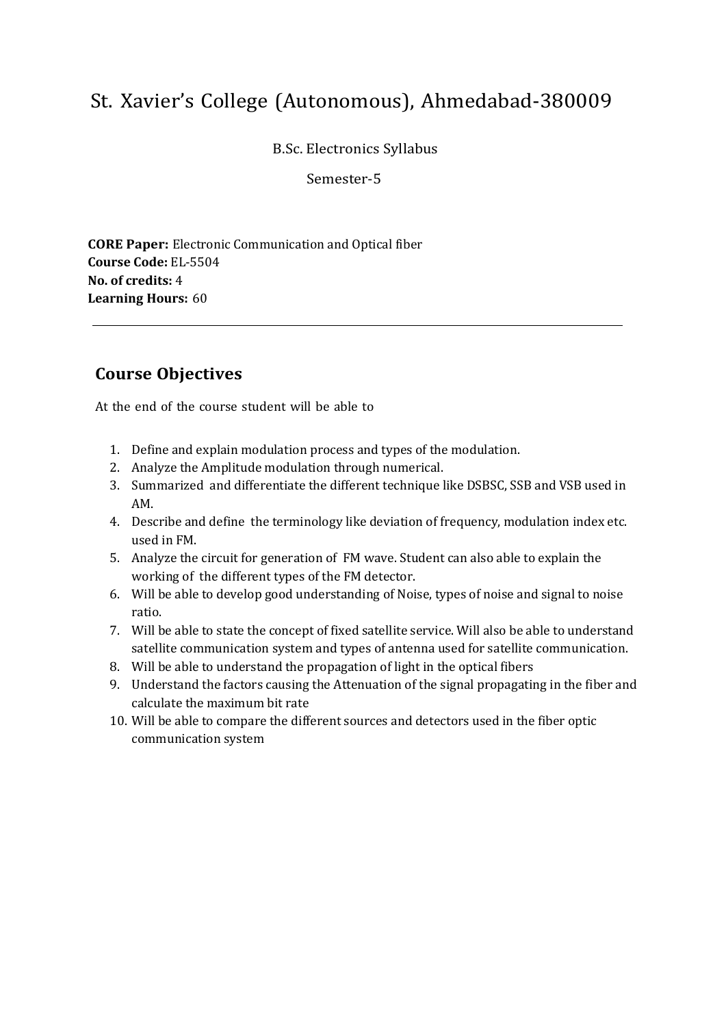B.Sc. Electronics Syllabus

Semester-5

**CORE Paper:** Electronic Communication and Optical fiber **Course Code:** EL-5504 **No. of credits:** 4 **Learning Hours:** 60

## **Course Objectives**

- 1. Define and explain modulation process and types of the modulation.
- 2. Analyze the Amplitude modulation through numerical.
- 3. Summarized and differentiate the different technique like DSBSC, SSB and VSB used in AM.
- 4. Describe and define the terminology like deviation of frequency, modulation index etc. used in FM.
- 5. Analyze the circuit for generation of FM wave. Student can also able to explain the working of the different types of the FM detector.
- 6. Will be able to develop good understanding of Noise, types of noise and signal to noise ratio.
- 7. Will be able to state the concept of fixed satellite service. Will also be able to understand satellite communication system and types of antenna used for satellite communication.
- 8. Will be able to understand the propagation of light in the optical fibers
- 9. Understand the factors causing the Attenuation of the signal propagating in the fiber and calculate the maximum bit rate
- 10. Will be able to compare the different sources and detectors used in the fiber optic communication system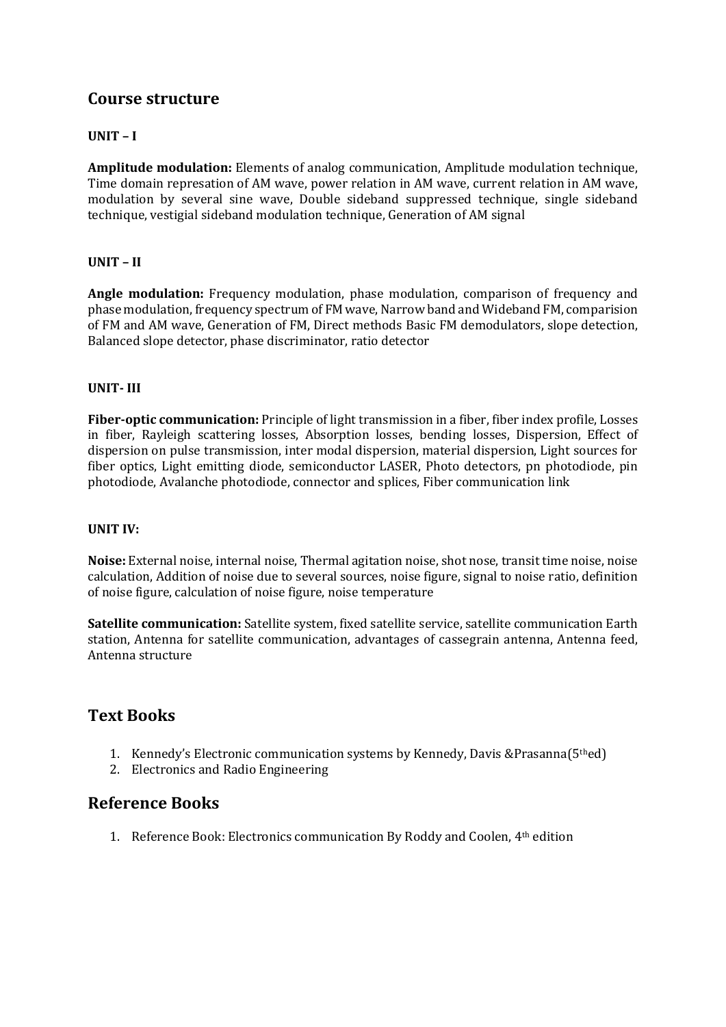#### **UNIT – I**

**Amplitude modulation:** Elements of analog communication, Amplitude modulation technique, Time domain represation of AM wave, power relation in AM wave, current relation in AM wave, modulation by several sine wave, Double sideband suppressed technique, single sideband technique, vestigial sideband modulation technique, Generation of AM signal

#### **UNIT – II**

**Angle modulation:** Frequency modulation, phase modulation, comparison of frequency and phase modulation, frequency spectrum of FM wave, Narrow band and Wideband FM, comparision of FM and AM wave, Generation of FM, Direct methods Basic FM demodulators, slope detection, Balanced slope detector, phase discriminator, ratio detector

#### **UNIT- III**

**Fiber-optic communication:** Principle of light transmission in a fiber, fiber index profile, Losses in fiber, Rayleigh scattering losses, Absorption losses, bending losses, Dispersion, Effect of dispersion on pulse transmission, inter modal dispersion, material dispersion, Light sources for fiber optics, Light emitting diode, semiconductor LASER, Photo detectors, pn photodiode, pin photodiode, Avalanche photodiode, connector and splices, Fiber communication link

#### **UNIT IV:**

**Noise:** External noise, internal noise, Thermal agitation noise, shot nose, transit time noise, noise calculation, Addition of noise due to several sources, noise figure, signal to noise ratio, definition of noise figure, calculation of noise figure, noise temperature

**Satellite communication:** Satellite system, fixed satellite service, satellite communication Earth station, Antenna for satellite communication, advantages of cassegrain antenna, Antenna feed, Antenna structure

### **Text Books**

- 1. Kennedy's Electronic communication systems by Kennedy, Davis &Prasanna(5thed)
- 2. Electronics and Radio Engineering

### **Reference Books**

1. Reference Book: Electronics communication By Roddy and Coolen, 4th edition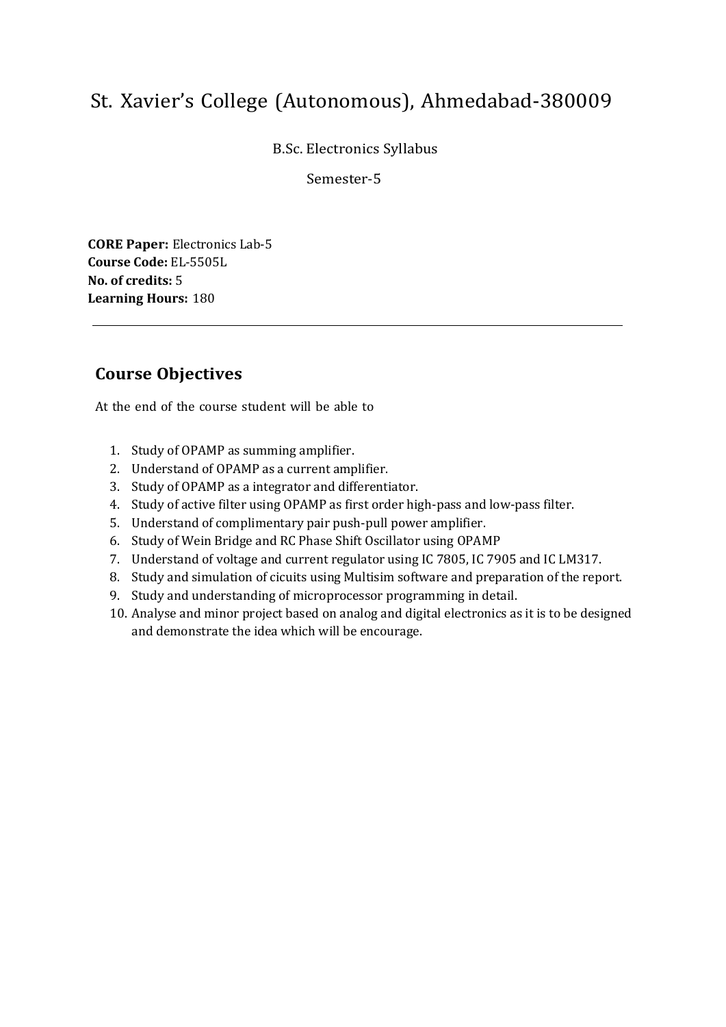B.Sc. Electronics Syllabus

Semester-5

**CORE Paper:** Electronics Lab-5 **Course Code:** EL-5505L **No. of credits:** 5 **Learning Hours:** 180

## **Course Objectives**

- 1. Study of OPAMP as summing amplifier.
- 2. Understand of OPAMP as a current amplifier.
- 3. Study of OPAMP as a integrator and differentiator.
- 4. Study of active filter using OPAMP as first order high-pass and low-pass filter.
- 5. Understand of complimentary pair push-pull power amplifier.
- 6. Study of Wein Bridge and RC Phase Shift Oscillator using OPAMP
- 7. Understand of voltage and current regulator using IC 7805, IC 7905 and IC LM317.
- 8. Study and simulation of cicuits using Multisim software and preparation of the report.
- 9. Study and understanding of microprocessor programming in detail.
- 10. Analyse and minor project based on analog and digital electronics as it is to be designed and demonstrate the idea which will be encourage.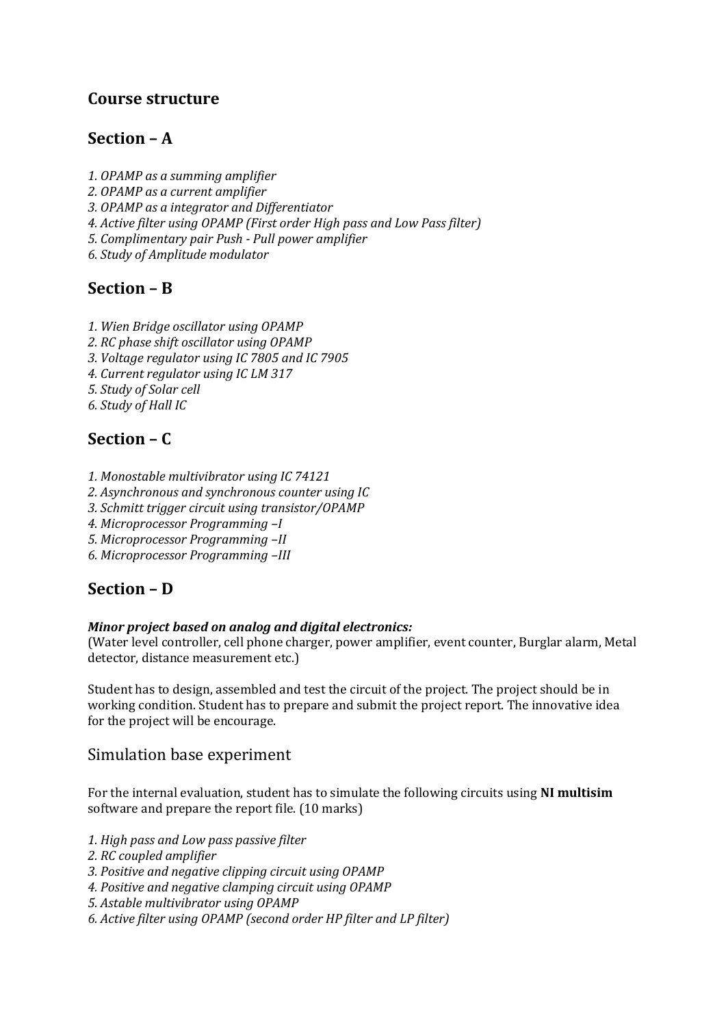## **Section – A**

*1. OPAMP as a summing amplifier 2. OPAMP as a current amplifier 3. OPAMP as a integrator and Differentiator 4. Active filter using OPAMP (First order High pass and Low Pass filter) 5. Complimentary pair Push - Pull power amplifier 6. Study of Amplitude modulator*

## **Section – B**

- *1. Wien Bridge oscillator using OPAMP*
- *2. RC phase shift oscillator using OPAMP*
- *3. Voltage regulator using IC 7805 and IC 7905*
- *4. Current regulator using IC LM 317*
- *5. Study of Solar cell*
- *6. Study of Hall IC*

## **Section – C**

- *1. Monostable multivibrator using IC 74121*
- *2. Asynchronous and synchronous counter using IC*
- *3. Schmitt trigger circuit using transistor/OPAMP*
- *4. Microprocessor Programming –I*
- *5. Microprocessor Programming –II*
- *6. Microprocessor Programming –III*

## **Section – D**

#### *Minor project based on analog and digital electronics:*

(Water level controller, cell phone charger, power amplifier, event counter, Burglar alarm, Metal detector, distance measurement etc.)

Student has to design, assembled and test the circuit of the project. The project should be in working condition. Student has to prepare and submit the project report. The innovative idea for the project will be encourage.

### Simulation base experiment

For the internal evaluation, student has to simulate the following circuits using **NI multisim** software and prepare the report file. (10 marks)

- *1. High pass and Low pass passive filter*
- *2. RC coupled amplifier*
- *3. Positive and negative clipping circuit using OPAMP*
- *4. Positive and negative clamping circuit using OPAMP*
- *5. Astable multivibrator using OPAMP*
- *6. Active filter using OPAMP (second order HP filter and LP filter)*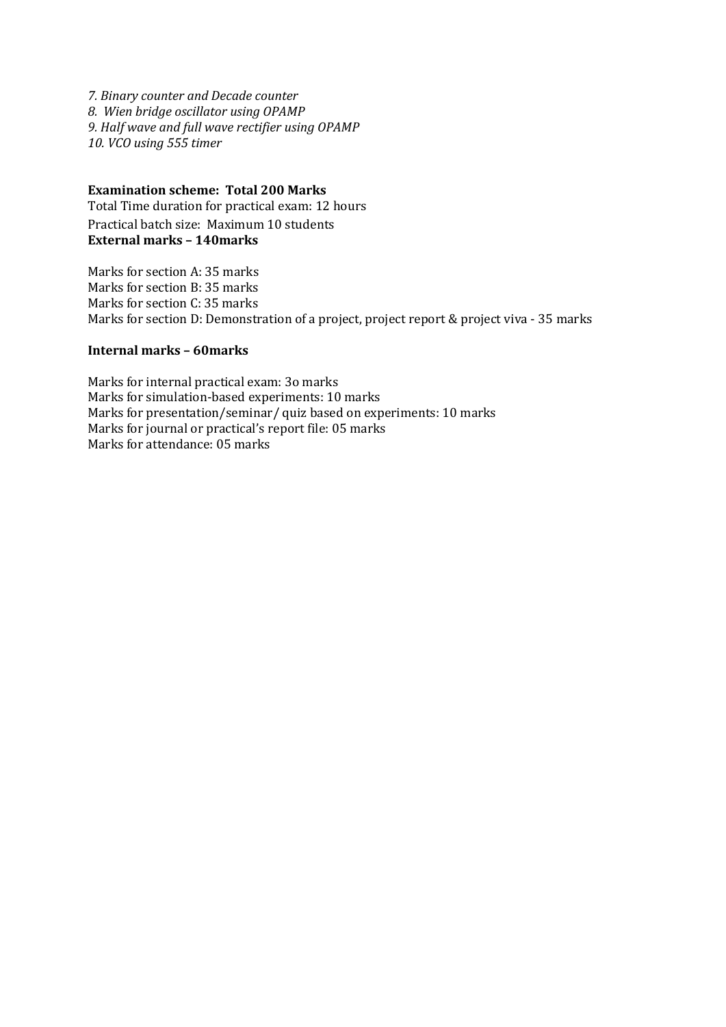*7. Binary counter and Decade counter 8. Wien bridge oscillator using OPAMP 9. Half wave and full wave rectifier using OPAMP 10. VCO using 555 timer*

#### **Examination scheme: Total 200 Marks**

Total Time duration for practical exam: 12 hours Practical batch size: Maximum 10 students **External marks – 140marks**

Marks for section A: 35 marks Marks for section B: 35 marks Marks for section C: 35 marks Marks for section D: Demonstration of a project, project report & project viva - 35 marks

#### **Internal marks – 60marks**

Marks for internal practical exam: 3o marks Marks for simulation-based experiments: 10 marks Marks for presentation/seminar/ quiz based on experiments: 10 marks Marks for journal or practical's report file: 05 marks Marks for attendance: 05 marks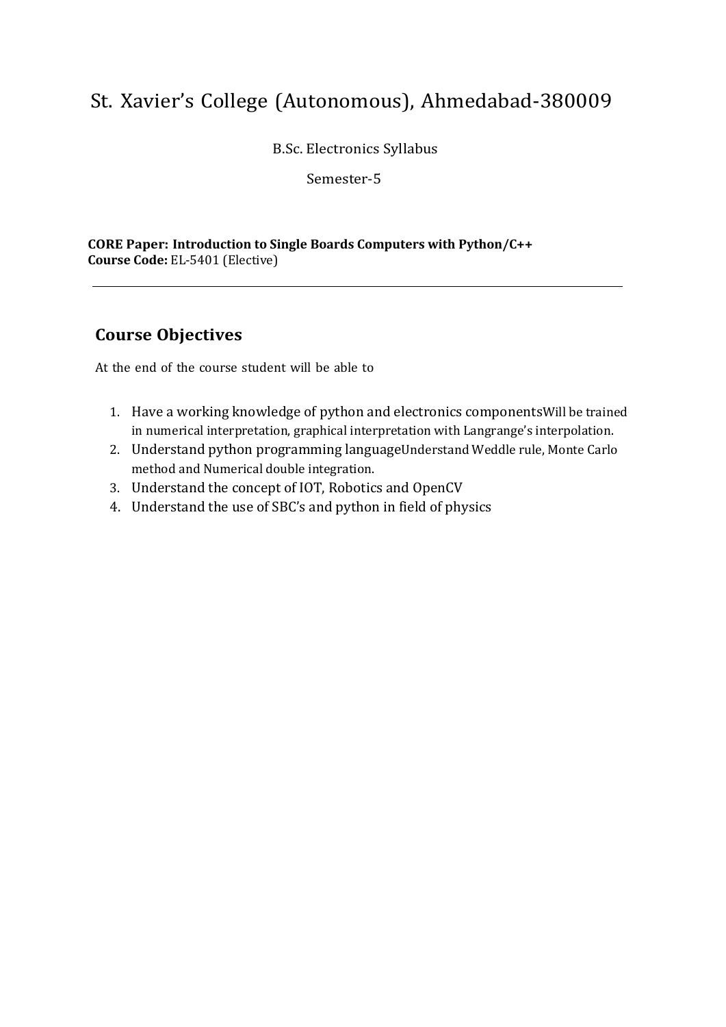B.Sc. Electronics Syllabus

Semester-5

**CORE Paper: Introduction to Single Boards Computers with Python/C++ Course Code:** EL-5401 (Elective)

## **Course Objectives**

- 1. Have a working knowledge of python and electronics componentsWill be trained in numerical interpretation, graphical interpretation with Langrange's interpolation.
- 2. Understand python programming languageUnderstand Weddle rule, Monte Carlo method and Numerical double integration.
- 3. Understand the concept of IOT, Robotics and OpenCV
- 4. Understand the use of SBC's and python in field of physics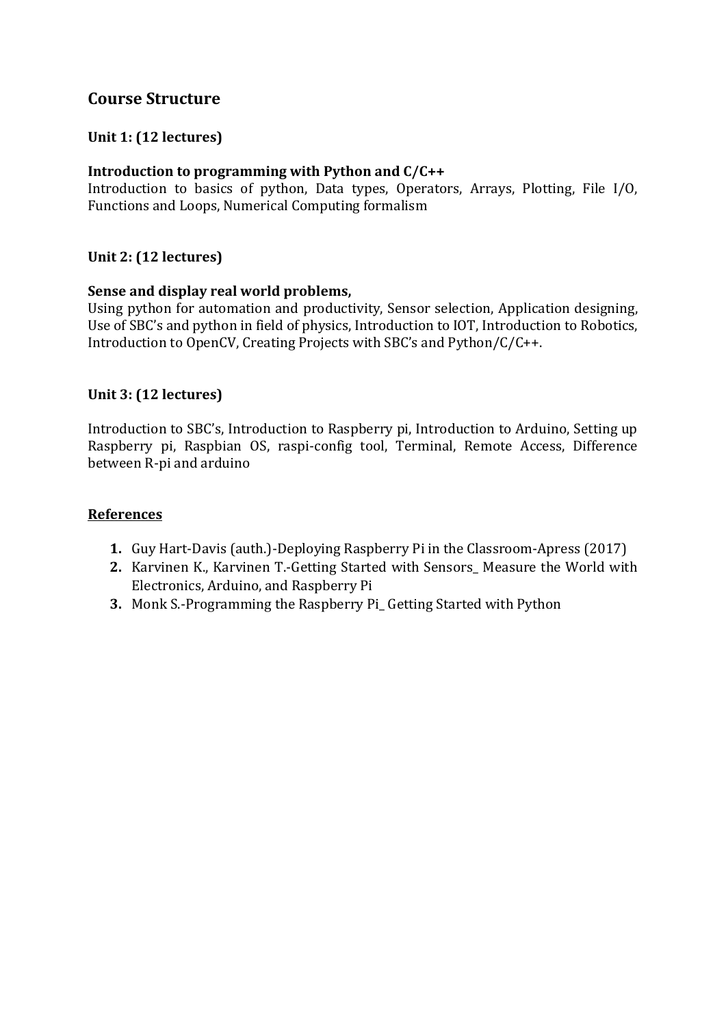### **Unit 1: (12 lectures)**

### **Introduction to programming with Python and C/C++**

Introduction to basics of python, Data types, Operators, Arrays, Plotting, File I/O, Functions and Loops, Numerical Computing formalism

### **Unit 2: (12 lectures)**

### **Sense and display real world problems,**

Using python for automation and productivity, Sensor selection, Application designing, Use of SBC's and python in field of physics, Introduction to IOT, Introduction to Robotics, Introduction to OpenCV, Creating Projects with SBC's and Python/C/C++.

### **Unit 3: (12 lectures)**

Introduction to SBC's, Introduction to Raspberry pi, Introduction to Arduino, Setting up Raspberry pi, Raspbian OS, raspi-config tool, Terminal, Remote Access, Difference between R-pi and arduino

### **References**

- **1.** Guy Hart-Davis (auth.)-Deploying Raspberry Pi in the Classroom-Apress (2017)
- **2.** Karvinen K., Karvinen T.-Getting Started with Sensors\_ Measure the World with Electronics, Arduino, and Raspberry Pi
- **3.** Monk S.-Programming the Raspberry Pi\_ Getting Started with Python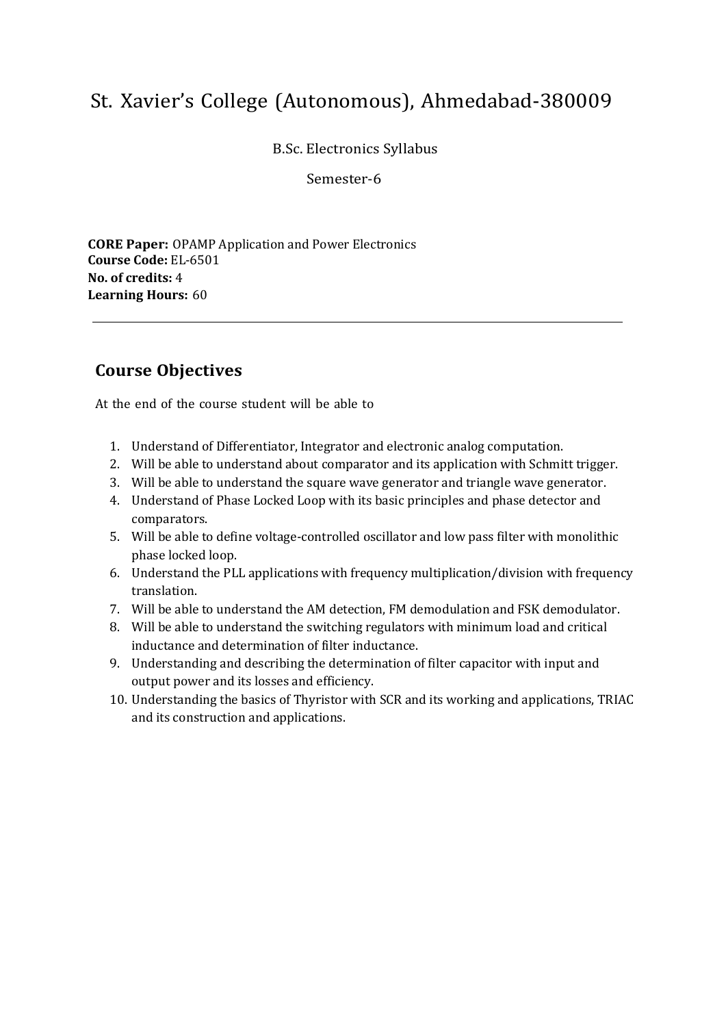B.Sc. Electronics Syllabus

Semester-6

**CORE Paper:** OPAMP Application and Power Electronics **Course Code:** EL-6501 **No. of credits:** 4 **Learning Hours:** 60

## **Course Objectives**

- 1. Understand of Differentiator, Integrator and electronic analog computation.
- 2. Will be able to understand about comparator and its application with Schmitt trigger.
- 3. Will be able to understand the square wave generator and triangle wave generator.
- 4. Understand of Phase Locked Loop with its basic principles and phase detector and comparators.
- 5. Will be able to define voltage-controlled oscillator and low pass filter with monolithic phase locked loop.
- 6. Understand the PLL applications with frequency multiplication/division with frequency translation.
- 7. Will be able to understand the AM detection, FM demodulation and FSK demodulator.
- 8. Will be able to understand the switching regulators with minimum load and critical inductance and determination of filter inductance.
- 9. Understanding and describing the determination of filter capacitor with input and output power and its losses and efficiency.
- 10. Understanding the basics of Thyristor with SCR and its working and applications, TRIAC and its construction and applications.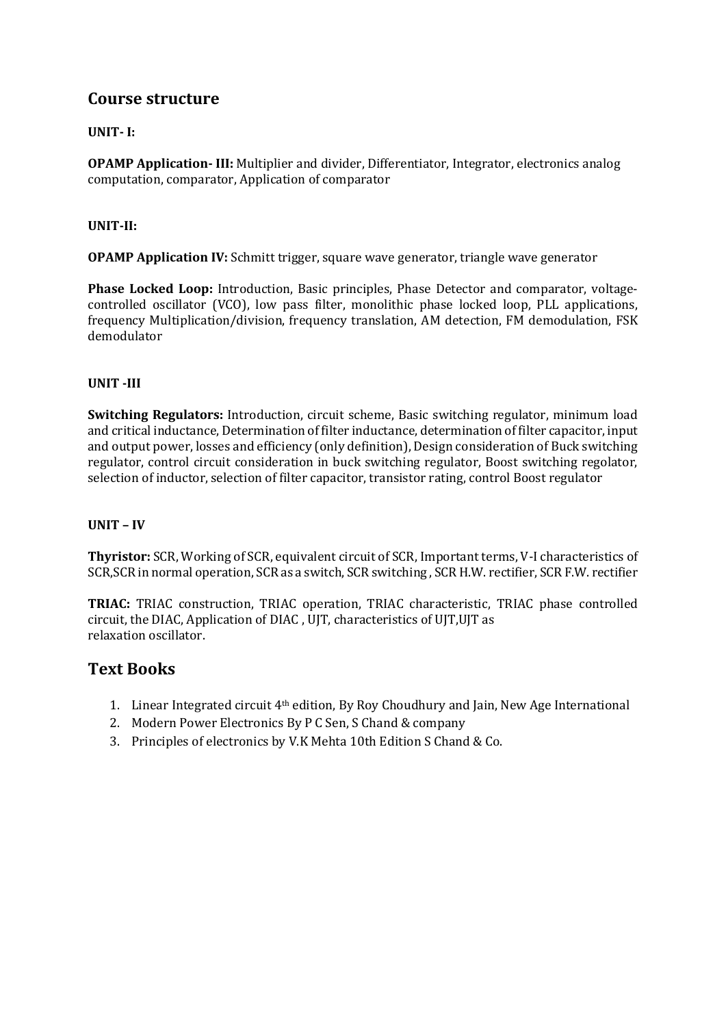### **UNIT- I:**

**OPAMP Application- III:** Multiplier and divider, Differentiator, Integrator, electronics analog computation, comparator, Application of comparator

#### **UNIT-II:**

**OPAMP Application IV:** Schmitt trigger, square wave generator, triangle wave generator

**Phase Locked Loop:** Introduction, Basic principles, Phase Detector and comparator, voltagecontrolled oscillator (VCO), low pass filter, monolithic phase locked loop, PLL applications, frequency Multiplication/division, frequency translation, AM detection, FM demodulation, FSK demodulator

#### **UNIT -III**

**Switching Regulators:** Introduction, circuit scheme, Basic switching regulator, minimum load and critical inductance, Determination of filter inductance, determination of filter capacitor, input and output power, losses and efficiency (only definition), Design consideration of Buck switching regulator, control circuit consideration in buck switching regulator, Boost switching regolator, selection of inductor, selection of filter capacitor, transistor rating, control Boost regulator

#### **UNIT – IV**

**Thyristor:** SCR, Working of SCR, equivalent circuit of SCR, Important terms, V‐I characteristics of SCR,SCR in normal operation, SCR as a switch, SCR switching , SCR H.W. rectifier, SCR F.W. rectifier

**TRIAC:** TRIAC construction, TRIAC operation, TRIAC characteristic, TRIAC phase controlled circuit, the DIAC, Application of DIAC , UJT, characteristics of UJT,UJT as relaxation oscillator.

### **Text Books**

- 1. Linear Integrated circuit  $4<sup>th</sup>$  edition, By Roy Choudhury and Jain, New Age International
- 2. Modern Power Electronics By P C Sen, S Chand & company
- 3. Principles of electronics by V.K Mehta 10th Edition S Chand & Co.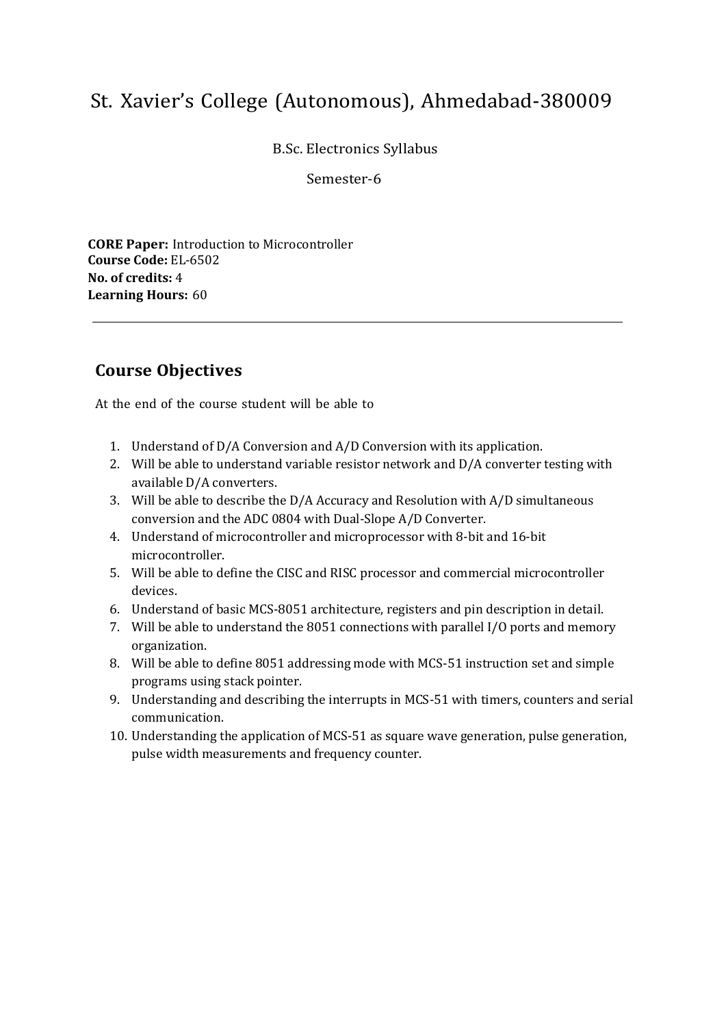B.Sc. Electronics Syllabus

Semester-6

**CORE Paper:** Introduction to Microcontroller **Course Code:** EL-6502 **No. of credits:** 4 **Learning Hours:** 60

## **Course Objectives**

- 1. Understand of D/A Conversion and A/D Conversion with its application.
- 2. Will be able to understand variable resistor network and D/A converter testing with available D/A converters.
- 3. Will be able to describe the D/A Accuracy and Resolution with A/D simultaneous conversion and the ADC 0804 with Dual-Slope A/D Converter.
- 4. Understand of microcontroller and microprocessor with 8-bit and 16-bit microcontroller.
- 5. Will be able to define the CISC and RISC processor and commercial microcontroller devices.
- 6. Understand of basic MCS-8051 architecture, registers and pin description in detail.
- 7. Will be able to understand the 8051 connections with parallel I/O ports and memory organization.
- 8. Will be able to define 8051 addressing mode with MCS-51 instruction set and simple programs using stack pointer.
- 9. Understanding and describing the interrupts in MCS-51 with timers, counters and serial communication.
- 10. Understanding the application of MCS-51 as square wave generation, pulse generation, pulse width measurements and frequency counter.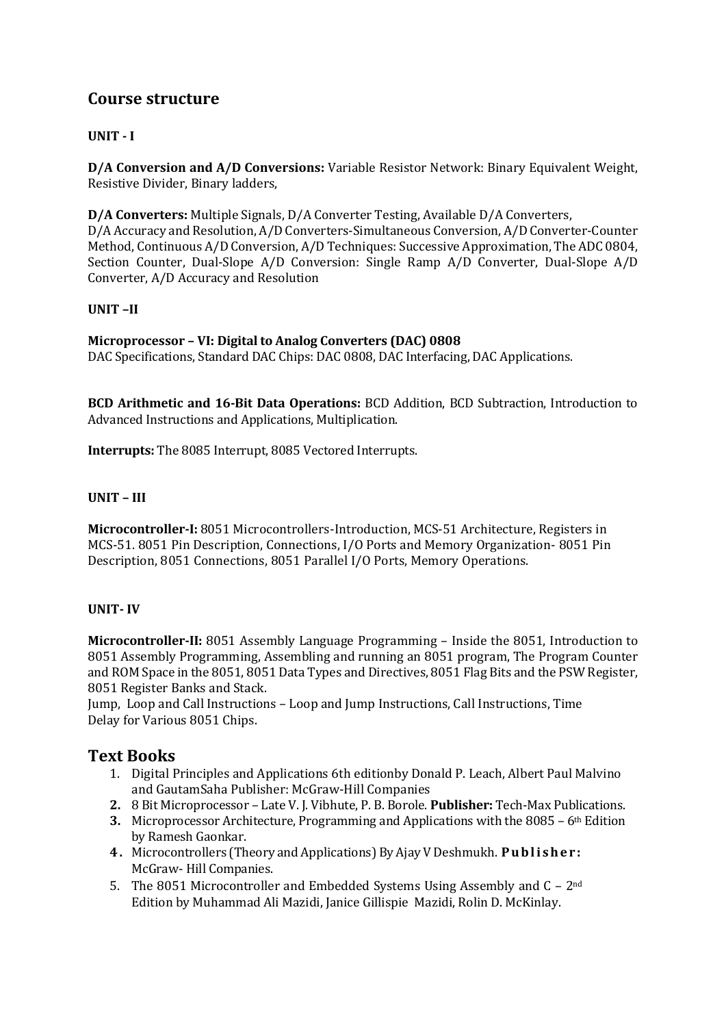### **UNIT - I**

**D/A Conversion and A/D Conversions:** Variable Resistor Network: Binary Equivalent Weight, Resistive Divider, Binary ladders,

**D/A Converters:** Multiple Signals, D/A Converter Testing, Available D/A Converters, D/A Accuracy and Resolution, A/D Converters‐Simultaneous Conversion, A/D Converter‐Counter Method, Continuous A/D Conversion, A/D Techniques: Successive Approximation, The ADC 0804, Section Counter, Dual‐Slope A/D Conversion: Single Ramp A/D Converter, Dual‐Slope A/D Converter, A/D Accuracy and Resolution

#### **UNIT –II**

#### **Microprocessor – VI: Digital to Analog Converters (DAC) 0808**

DAC Specifications, Standard DAC Chips: DAC 0808, DAC Interfacing, DAC Applications.

**BCD Arithmetic and 16-Bit Data Operations:** BCD Addition, BCD Subtraction, Introduction to Advanced Instructions and Applications, Multiplication.

**Interrupts:** The 8085 Interrupt, 8085 Vectored Interrupts.

#### **UNIT – III**

**Microcontroller-I:** 8051 Microcontrollers-Introduction, MCS-51 Architecture, Registers in MCS-51. 8051 Pin Description, Connections, I/O Ports and Memory Organization- 8051 Pin Description, 8051 Connections, 8051 Parallel I/O Ports, Memory Operations.

#### **UNIT- IV**

**Microcontroller-II:** 8051 Assembly Language Programming – Inside the 8051, Introduction to 8051 Assembly Programming, Assembling and running an 8051 program, The Program Counter and ROM Space in the 8051, 8051 Data Types and Directives, 8051 Flag Bits and the PSW Register, 8051 Register Banks and Stack.

Jump, Loop and Call Instructions – Loop and Jump Instructions, Call Instructions, Time Delay for Various 8051 Chips.

### **Text Books**

- 1. Digital Principles and Applications 6th editionby Donald P. Leach, Albert Paul Malvino and GautamSaha Publisher: McGraw‐Hill Companies
- **2.** 8 Bit Microprocessor Late V. J. Vibhute, P. B. Borole. **Publisher:** Tech-Max Publications.
- **3.** Microprocessor Architecture, Programming and Applications with the 8085 6th Edition by Ramesh Gaonkar.
- **4 .** Microcontrollers (Theory and Applications) By Ajay V Deshmukh. **P u b l i s h e r :** McGraw- Hill Companies.
- 5. The 8051 Microcontroller and Embedded Systems Using Assembly and C 2nd Edition by Muhammad Ali Mazidi, Janice Gillispie Mazidi, Rolin D. McKinlay.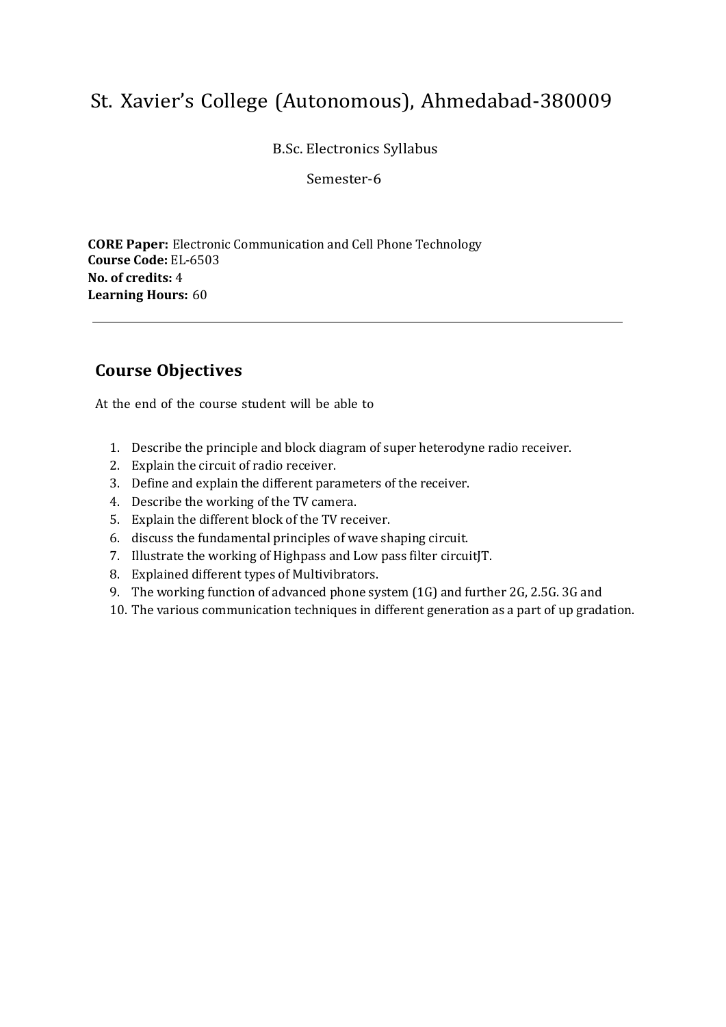B.Sc. Electronics Syllabus

Semester-6

**CORE Paper:** Electronic Communication and Cell Phone Technology **Course Code:** EL-6503 **No. of credits:** 4 **Learning Hours:** 60

## **Course Objectives**

- 1. Describe the principle and block diagram of super heterodyne radio receiver.
- 2. Explain the circuit of radio receiver.
- 3. Define and explain the different parameters of the receiver.
- 4. Describe the working of the TV camera.
- 5. Explain the different block of the TV receiver.
- 6. discuss the fundamental principles of wave shaping circuit.
- 7. Illustrate the working of Highpass and Low pass filter circuitJT.
- 8. Explained different types of Multivibrators.
- 9. The working function of advanced phone system (1G) and further 2G, 2.5G. 3G and
- 10. The various communication techniques in different generation as a part of up gradation.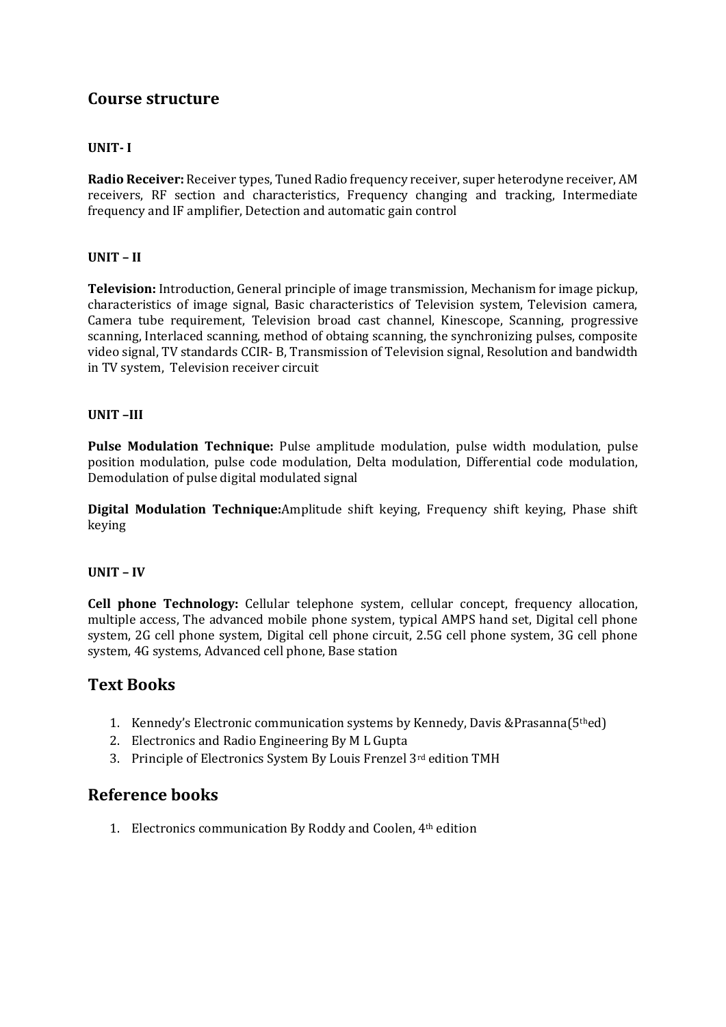#### **UNIT- I**

**Radio Receiver:** Receiver types, Tuned Radio frequency receiver, super heterodyne receiver, AM receivers, RF section and characteristics, Frequency changing and tracking, Intermediate frequency and IF amplifier, Detection and automatic gain control

#### **UNIT – II**

**Television:** Introduction, General principle of image transmission, Mechanism for image pickup, characteristics of image signal, Basic characteristics of Television system, Television camera, Camera tube requirement, Television broad cast channel, Kinescope, Scanning, progressive scanning, Interlaced scanning, method of obtaing scanning, the synchronizing pulses, composite video signal, TV standards CCIR- B, Transmission of Television signal, Resolution and bandwidth in TV system, Television receiver circuit

#### **UNIT –III**

**Pulse Modulation Technique:** Pulse amplitude modulation, pulse width modulation, pulse position modulation, pulse code modulation, Delta modulation, Differential code modulation, Demodulation of pulse digital modulated signal

**Digital Modulation Technique:**Amplitude shift keying, Frequency shift keying, Phase shift keying

#### **UNIT – IV**

**Cell phone Technology:** Cellular telephone system, cellular concept, frequency allocation, multiple access, The advanced mobile phone system, typical AMPS hand set, Digital cell phone system, 2G cell phone system, Digital cell phone circuit, 2.5G cell phone system, 3G cell phone system, 4G systems, Advanced cell phone, Base station

### **Text Books**

- 1. Kennedy's Electronic communication systems by Kennedy, Davis &Prasanna(5thed)
- 2. Electronics and Radio Engineering By M L Gupta
- 3. Principle of Electronics System By Louis Frenzel 3rd edition TMH

### **Reference books**

1. Electronics communication By Roddy and Coolen, 4th edition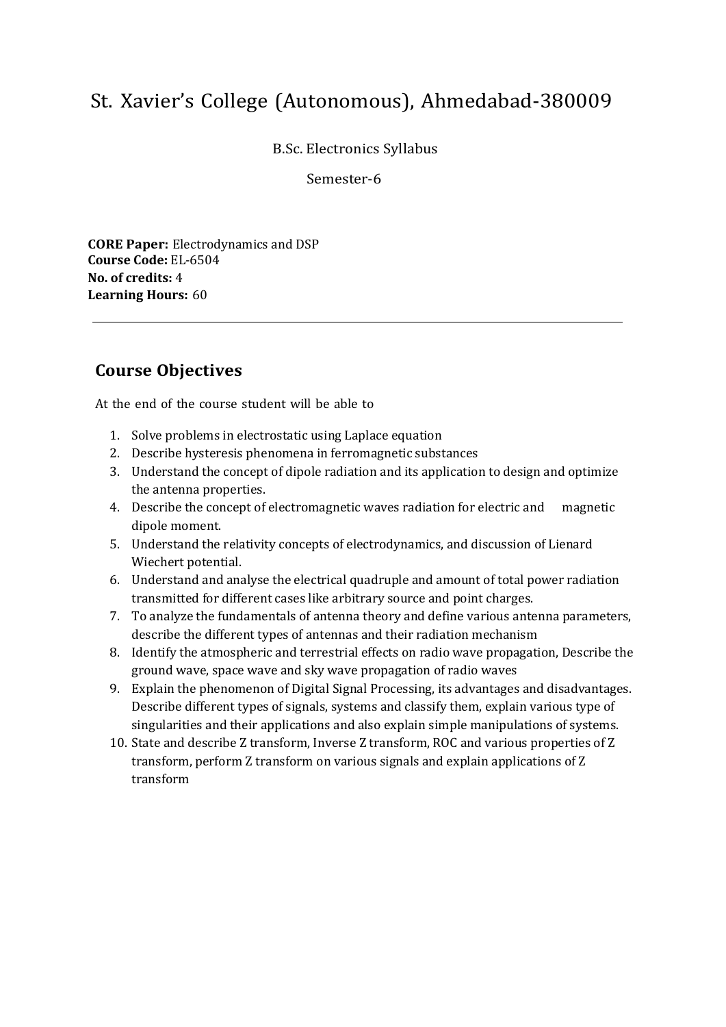B.Sc. Electronics Syllabus

Semester-6

**CORE Paper:** Electrodynamics and DSP **Course Code:** EL-6504 **No. of credits:** 4 **Learning Hours:** 60

## **Course Objectives**

- 1. Solve problems in electrostatic using Laplace equation
- 2. Describe hysteresis phenomena in ferromagnetic substances
- 3. Understand the concept of dipole radiation and its application to design and optimize the antenna properties.
- 4. Describe the concept of electromagnetic waves radiation for electric and magnetic dipole moment.
- 5. Understand the relativity concepts of electrodynamics, and discussion of Lienard Wiechert potential.
- 6. Understand and analyse the electrical quadruple and amount of total power radiation transmitted for different cases like arbitrary source and point charges.
- 7. To analyze the fundamentals of antenna theory and define various antenna parameters, describe the different types of antennas and their radiation mechanism
- 8. Identify the atmospheric and terrestrial effects on radio wave propagation, Describe the ground wave, space wave and sky wave propagation of radio waves
- 9. Explain the phenomenon of Digital Signal Processing, its advantages and disadvantages. Describe different types of signals, systems and classify them, explain various type of singularities and their applications and also explain simple manipulations of systems.
- 10. State and describe Z transform, Inverse Z transform, ROC and various properties of Z transform, perform Z transform on various signals and explain applications of Z transform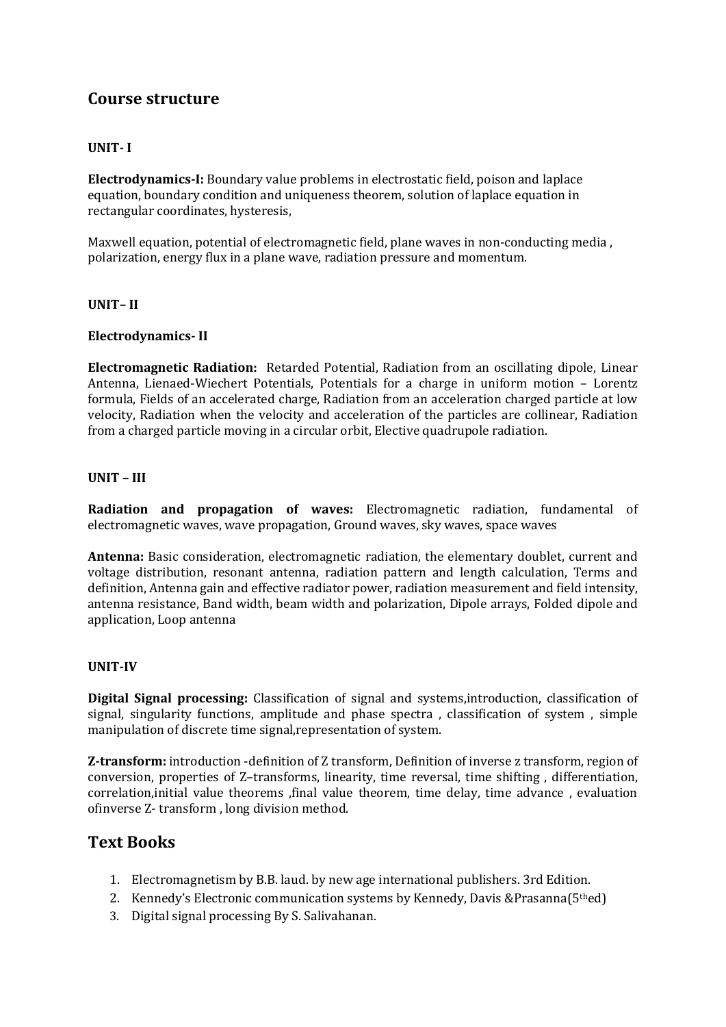#### **UNIT- I**

**Electrodynamics-I:** Boundary value problems in electrostatic field, poison and laplace equation, boundary condition and uniqueness theorem, solution of laplace equation in rectangular coordinates, hysteresis,

Maxwell equation, potential of electromagnetic field, plane waves in non-conducting media , polarization, energy flux in a plane wave, radiation pressure and momentum.

#### **UNIT– II**

#### **Electrodynamics- II**

**Electromagnetic Radiation:** Retarded Potential, Radiation from an oscillating dipole, Linear Antenna, Lienaed-Wiechert Potentials, Potentials for a charge in uniform motion – Lorentz formula, Fields of an accelerated charge, Radiation from an acceleration charged particle at low velocity, Radiation when the velocity and acceleration of the particles are collinear, Radiation from a charged particle moving in a circular orbit, Elective quadrupole radiation.

#### **UNIT – III**

**Radiation and propagation of waves:** Electromagnetic radiation, fundamental of electromagnetic waves, wave propagation, Ground waves, sky waves, space waves

**Antenna:** Basic consideration, electromagnetic radiation, the elementary doublet, current and voltage distribution, resonant antenna, radiation pattern and length calculation, Terms and definition, Antenna gain and effective radiator power, radiation measurement and field intensity, antenna resistance, Band width, beam width and polarization, Dipole arrays, Folded dipole and application, Loop antenna

#### **UNIT-IV**

**Digital Signal processing:** Classification of signal and systems,introduction, classification of signal, singularity functions, amplitude and phase spectra , classification of system , simple manipulation of discrete time signal,representation of system.

**Z‐transform:** introduction -definition of Z transform, Definition of inverse z transform, region of conversion, properties of Z–transforms, linearity, time reversal, time shifting , differentiation, correlation,initial value theorems ,final value theorem, time delay, time advance , evaluation ofinverse Z‐ transform , long division method.

### **Text Books**

- 1. Electromagnetism by B.B. laud. by new age international publishers. 3rd Edition.
- 2. Kennedy's Electronic communication systems by Kennedy, Davis &Prasanna( $5<sup>th</sup>$ ed)
- 3. Digital signal processing By S. Salivahanan.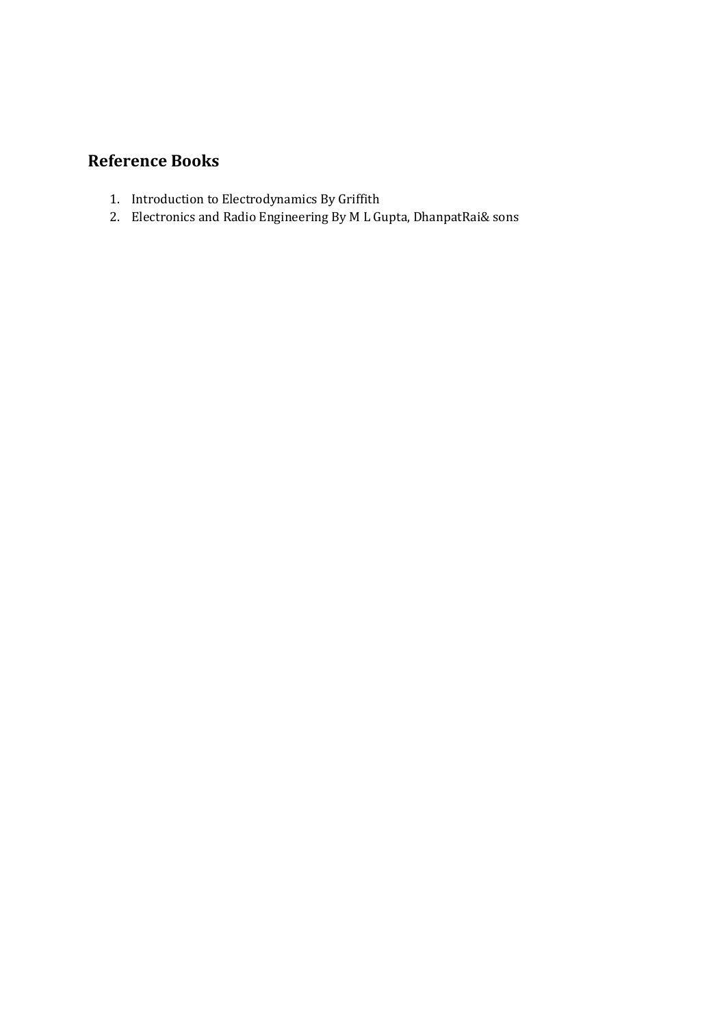## **Reference Books**

- 1. Introduction to Electrodynamics By Griffith
- 2. Electronics and Radio Engineering By M L Gupta, DhanpatRai& sons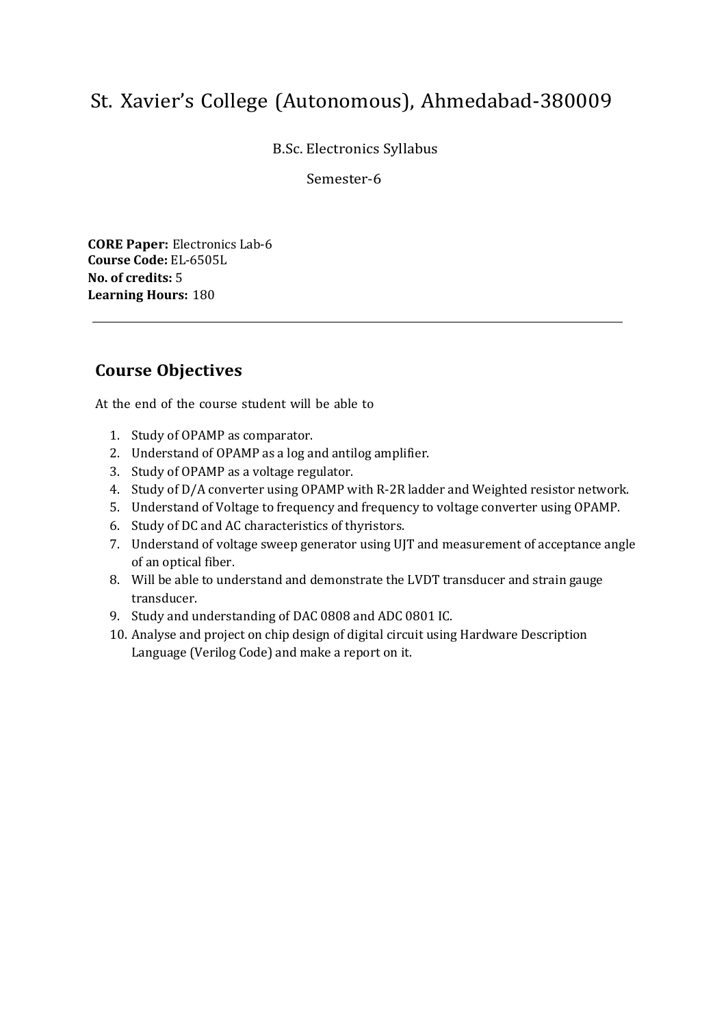B.Sc. Electronics Syllabus

Semester-6

**CORE Paper:** Electronics Lab-6 **Course Code:** EL-6505L **No. of credits:** 5 **Learning Hours:** 180

## **Course Objectives**

- 1. Study of OPAMP as comparator.
- 2. Understand of OPAMP as a log and antilog amplifier.
- 3. Study of OPAMP as a voltage regulator.
- 4. Study of D/A converter using OPAMP with R-2R ladder and Weighted resistor network.
- 5. Understand of Voltage to frequency and frequency to voltage converter using OPAMP.
- 6. Study of DC and AC characteristics of thyristors.
- 7. Understand of voltage sweep generator using UJT and measurement of acceptance angle of an optical fiber.
- 8. Will be able to understand and demonstrate the LVDT transducer and strain gauge transducer.
- 9. Study and understanding of DAC 0808 and ADC 0801 IC.
- 10. Analyse and project on chip design of digital circuit using Hardware Description Language (Verilog Code) and make a report on it.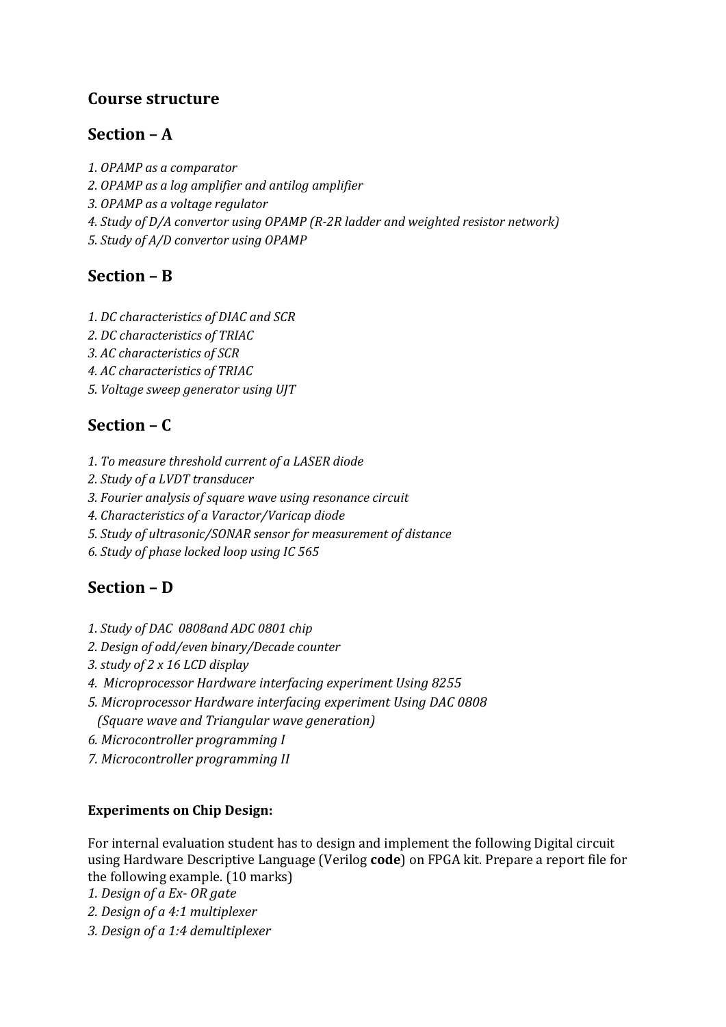## **Section – A**

- *1. OPAMP as a comparator*
- *2. OPAMP as a log amplifier and antilog amplifier*
- *3. OPAMP as a voltage regulator*
- *4. Study of D/A convertor using OPAMP (R-2R ladder and weighted resistor network)*
- *5. Study of A/D convertor using OPAMP*

# **Section – B**

- *1. DC characteristics of DIAC and SCR*
- *2. DC characteristics of TRIAC*
- *3. AC characteristics of SCR*
- *4. AC characteristics of TRIAC*
- *5. Voltage sweep generator using UJT*

# **Section – C**

- *1. To measure threshold current of a LASER diode*
- *2. Study of a LVDT transducer*
- *3. Fourier analysis of square wave using resonance circuit*
- *4. Characteristics of a Varactor/Varicap diode*
- *5. Study of ultrasonic/SONAR sensor for measurement of distance*
- *6. Study of phase locked loop using IC 565*

# **Section – D**

- *1. Study of DAC 0808and ADC 0801 chip*
- *2. Design of odd/even binary/Decade counter*
- *3. study of 2 x 16 LCD display*
- *4. Microprocessor Hardware interfacing experiment Using 8255*
- *5. Microprocessor Hardware interfacing experiment Using DAC 0808 (Square wave and Triangular wave generation)*
- *6. Microcontroller programming I*
- *7. Microcontroller programming II*

## **Experiments on Chip Design:**

For internal evaluation student has to design and implement the following Digital circuit using Hardware Descriptive Language (Verilog **code**) on FPGA kit. Prepare a report file for the following example. (10 marks)

*1. Design of a Ex- OR gate*

- *2. Design of a 4:1 multiplexer*
- *3. Design of a 1:4 demultiplexer*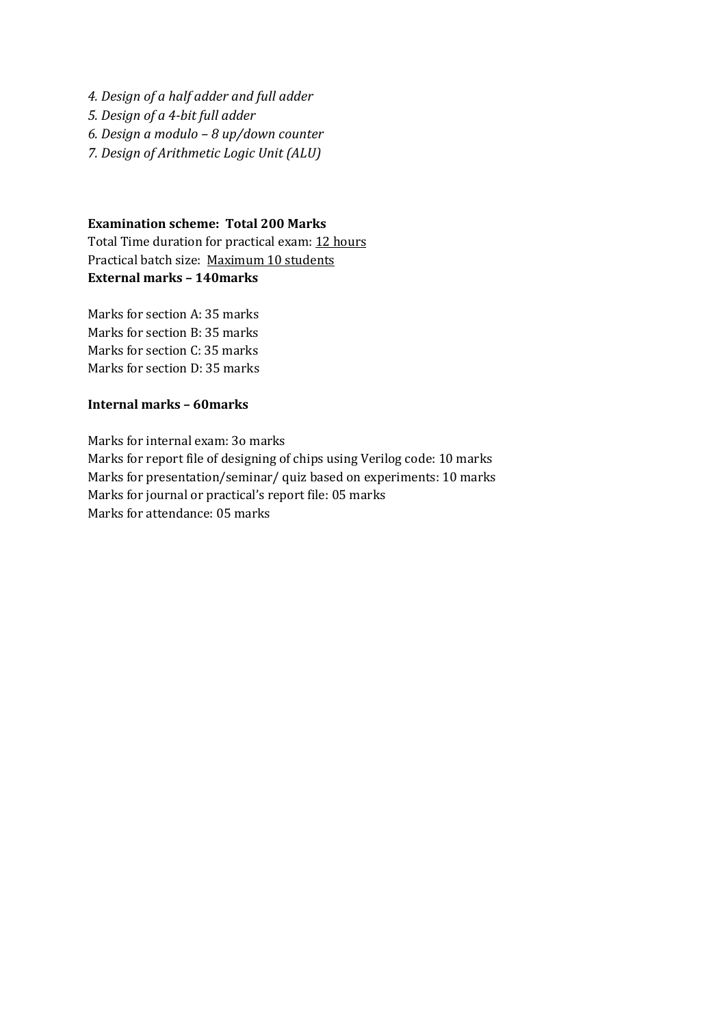*4. Design of a half adder and full adder 5. Design of a 4-bit full adder 6. Design a modulo – 8 up/down counter 7. Design of Arithmetic Logic Unit (ALU)*

#### **Examination scheme: Total 200 Marks**

Total Time duration for practical exam: 12 hours Practical batch size: Maximum 10 students **External marks – 140marks**

Marks for section A: 35 marks Marks for section B: 35 marks Marks for section C: 35 marks Marks for section D: 35 marks

#### **Internal marks – 60marks**

Marks for internal exam: 3o marks Marks for report file of designing of chips using Verilog code: 10 marks Marks for presentation/seminar/ quiz based on experiments: 10 marks Marks for journal or practical's report file: 05 marks Marks for attendance: 05 marks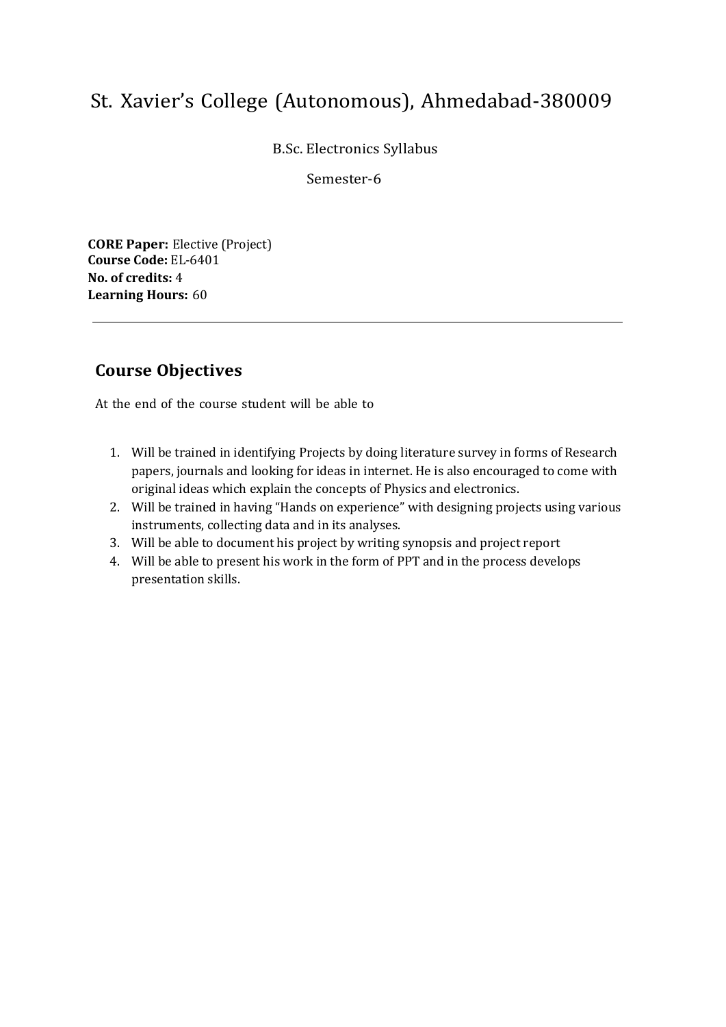B.Sc. Electronics Syllabus

Semester-6

**CORE Paper:** Elective (Project) **Course Code:** EL-6401 **No. of credits:** 4 **Learning Hours:** 60

## **Course Objectives**

- 1. Will be trained in identifying Projects by doing literature survey in forms of Research papers, journals and looking for ideas in internet. He is also encouraged to come with original ideas which explain the concepts of Physics and electronics.
- 2. Will be trained in having "Hands on experience" with designing projects using various instruments, collecting data and in its analyses.
- 3. Will be able to document his project by writing synopsis and project report
- 4. Will be able to present his work in the form of PPT and in the process develops presentation skills.